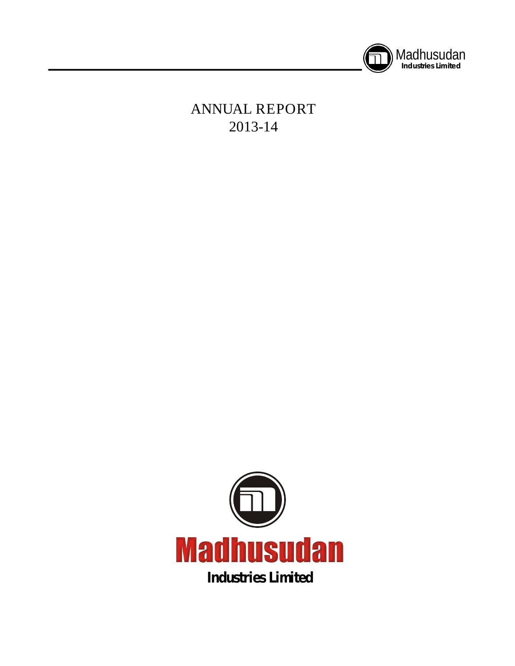

# **ANNUAL REPORT 2013-14**

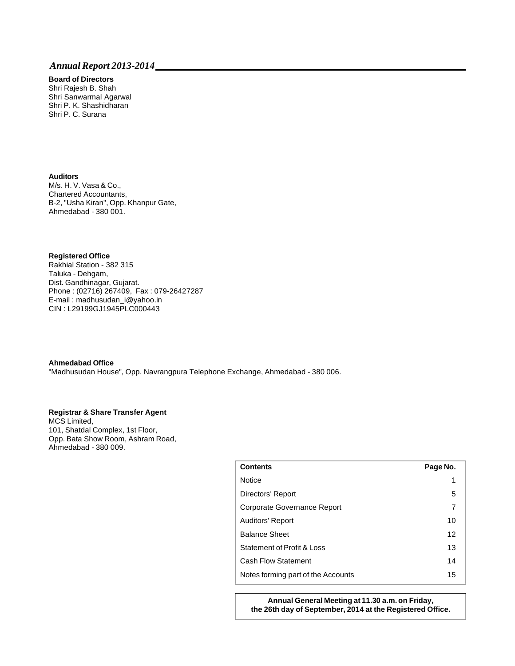# **Board of Directors**

Shri Rajesh B. Shah Shri Sanwarmal Agarwal Shri P. K. Shashidharan Shri P. C. Surana

#### **Auditors**

M/s. H. V. Vasa & Co., Chartered Accountants, B-2, "Usha Kiran", Opp. Khanpur Gate, Ahmedabad - 380 001.

#### **Registered Office**

Rakhial Station - 382 315 Taluka - Dehgam, Dist. Gandhinagar, Gujarat. Phone : (02716) 267409, Fax : 079-26427287 E-mail : madhusudan\_i@yahoo.in CIN : L29199GJ1945PLC000443

#### **Ahmedabad Office**

"Madhusudan House", Opp. Navrangpura Telephone Exchange, Ahmedabad - 380 006.

### **Registrar & Share Transfer Agent**

MCS Limited, 101, Shatdal Complex, 1st Floor, Opp. Bata Show Room, Ashram Road, Ahmedabad - 380 009.

| <b>Contents</b>                    | Page No. |
|------------------------------------|----------|
| <b>Notice</b>                      | 1        |
| Directors' Report                  | 5        |
| Corporate Governance Report        | 7        |
| Auditors' Report                   | 10       |
| <b>Balance Sheet</b>               | 12       |
| Statement of Profit & Loss         | 13       |
| <b>Cash Flow Statement</b>         | 14       |
| Notes forming part of the Accounts | 15       |

**Annual General Meeting at 11.30 a.m. on Friday, the 26th day of September, 2014 at the Registered Office.**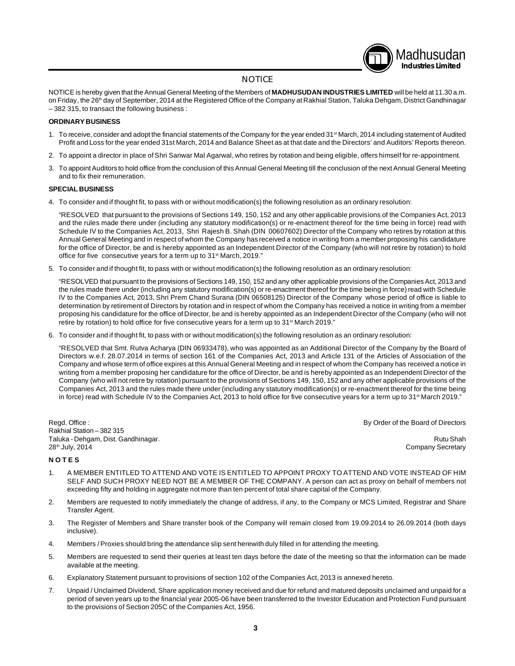# Madhusudan **Industries Limited**

#### **NOTICE**

NOTICE is hereby given that the Annual General Meeting of the Members of **MADHUSUDAN INDUSTRIES LIMITED** will be held at 11.30 a.m. on Friday, the 26<sup>th</sup> day of September, 2014 at the Registered Office of the Company at Rakhial Station, Taluka Dehgam, District Gandhinagar – 382 315, to transact the following business :

#### **ORDINARY BUSINESS**

- 1. To receive, consider and adopt the financial statements of the Company for the year ended 31<sup>st</sup> March, 2014 including statement of Audited Profit and Loss for the year ended 31st March, 2014 and Balance Sheet as at that date and the Directors' and Auditors' Reports thereon.
- 2. To appoint a director in place of Shri Sanwar Mal Agarwal, who retires by rotation and being eligible, offers himself for re-appointment.
- 3. To appoint Auditors to hold office from the conclusion of this Annual General Meeting till the conclusion of the next Annual General Meeting and to fix their remuneration.

#### **SPECIAL BUSINESS**

4. To consider and if thought fit, to pass with or without modification(s) the following resolution as an ordinary resolution:

"RESOLVED that pursuant to the provisions of Sections 149, 150, 152 and any other applicable provisions of the Companies Act, 2013 and the rules made there under (including any statutory modification(s) or re-enactment thereof for the time being in force) read with Schedule IV to the Companies Act, 2013, Shri Rajesh B. Shah (DIN 00607602) Director of the Company who retires by rotation at this Annual General Meeting and in respect of whom the Company has received a notice in writing from a member proposing his candidature for the office of Director, be and is hereby appointed as an Independent Director of the Company (who will not retire by rotation) to hold office for five consecutive years for a term up to 31<sup>st</sup> March, 2019."

5. To consider and if thought fit, to pass with or without modification(s) the following resolution as an ordinary resolution:

"RESOLVED that pursuant to the provisions of Sections 149, 150, 152 and any other applicable provisions of the Companies Act, 2013 and the rules made there under (including any statutory modification(s) or re-enactment thereof for the time being in force) read with Schedule IV to the Companies Act, 2013, Shri Prem Chand Surana (DIN 06508125) Director of the Company whose period of office is liable to determination by retirement of Directors by rotation and in respect of whom the Company has received a notice in writing from a member proposing his candidature for the office of Director, be and is hereby appointed as an Independent Director of the Company (who will not retire by rotation) to hold office for five consecutive years for a term up to 31<sup>st</sup> March 2019."

6. To consider and if thought fit, to pass with or without modification(s) the following resolution as an ordinary resolution:

"RESOLVED that Smt. Rutva Acharya (DIN 06933478), who was appointed as an Additional Director of the Company by the Board of Directors w.e.f. 28.07.2014 in terms of section 161 of the Companies Act, 2013 and Article 131 of the Articles of Association of the Company and whose term of office expires at this Annual General Meeting and in respect of whom the Company has received a notice in writing from a member proposing her candidature for the office of Director, be and is hereby appointed as an Independent Director of the Company (who will not retire by rotation) pursuant to the provisions of Sections 149, 150, 152 and any other applicable provisions of the Companies Act, 2013 and the rules made there under (including any statutory modification(s) or re-enactment thereof for the time being in force) read with Schedule IV to the Companies Act, 2013 to hold office for five consecutive years for a term up to 31<sup>st</sup> March 2019."

Regd. Office : **By Order of the Board of Directors** Rakhial Station – 382 315 Taluka - Dehgam, Dist. Gandhinagar. Rutu Shah et al. 2009 ay kalendari shah et al. 2009 ay kalendari shah et al 28<sup>th</sup> July, 2014 **Company Secretary Company Secretary Company Secretary Company Secretary** 

#### **N O T E S**

- 1. A MEMBER ENTITLED TO ATTEND AND VOTE IS ENTITLED TO APPOINT PROXY TO ATTEND AND VOTE INSTEAD OF HIM SELF AND SUCH PROXY NEED NOT BE A MEMBER OF THE COMPANY. A person can act as proxy on behalf of members not exceeding fifty and holding in aggregate not more than ten percent of total share capital of the Company.
- 2. Members are requested to notify immediately the change of address, if any, to the Company or MCS Limited, Registrar and Share Transfer Agent.
- 3. The Register of Members and Share transfer book of the Company will remain closed from 19.09.2014 to 26.09.2014 (both days inclusive).
- 4. Members / Proxies should bring the attendance slip sent herewith duly filled in for attending the meeting.
- 5. Members are requested to send their queries at least ten days before the date of the meeting so that the information can be made available at the meeting.
- 6. Explanatory Statement pursuant to provisions of section 102 of the Companies Act, 2013 is annexed hereto.
- 7. Unpaid / Unclaimed Dividend, Share application money received and due for refund and matured deposits unclaimed and unpaid for a period of seven years up to the financial year 2005-06 have been transferred to the Investor Education and Protection Fund pursuant to the provisions of Section 205C of the Companies Act, 1956.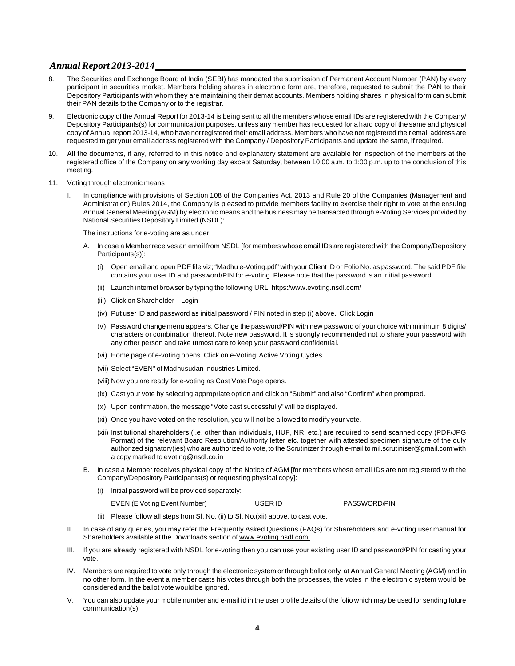- 8. The Securities and Exchange Board of India (SEBI) has mandated the submission of Permanent Account Number (PAN) by every participant in securities market. Members holding shares in electronic form are, therefore, requested to submit the PAN to their Depository Participants with whom they are maintaining their demat accounts. Members holding shares in physical form can submit their PAN details to the Company or to the registrar.
- 9. Electronic copy of the Annual Report for 2013-14 is being sent to all the members whose email IDs are registered with the Company/ Depository Participants(s) for communication purposes, unless any member has requested for a hard copy of the same and physical copy of Annual report 2013-14, who have not registered their email address. Members who have not registered their email address are requested to get your email address registered with the Company / Depository Participants and update the same, if required.
- 10. All the documents, if any, referred to in this notice and explanatory statement are available for inspection of the members at the registered office of the Company on any working day except Saturday, between 10:00 a.m. to 1:00 p.m. up to the conclusion of this meeting.
- 11. Voting through electronic means
	- I. In compliance with provisions of Section 108 of the Companies Act, 2013 and Rule 20 of the Companies (Management and Administration) Rules 2014, the Company is pleased to provide members facility to exercise their right to vote at the ensuing Annual General Meeting (AGM) by electronic means and the business may be transacted through e-Voting Services provided by National Securities Depository Limited (NSDL):

The instructions for e-voting are as under:

- A. In case a Member receives an email from NSDL [for members whose email IDs are registered with the Company/Depository Participants(s)]:
	- (i) Open email and open PDF file viz; "Madhu e-Voting.pdf" with your Client ID or Folio No. as password. The said PDF file contains your user ID and password/PIN for e-voting. Please note that the password is an initial password.
	- (ii) Launch internet browser by typing the following URL: https:/www.evoting.nsdl.com/
	- (iii) Click on Shareholder Login
	- (iv) Put user ID and password as initial password / PIN noted in step (i) above. Click Login
	- (v) Password change menu appears. Change the password/PIN with new password of your choice with minimum 8 digits/ characters or combination thereof. Note new password. It is strongly recommended not to share your password with any other person and take utmost care to keep your password confidential.
	- (vi) Home page of e-voting opens. Click on e-Voting: Active Voting Cycles.
	- (vii) Select "EVEN" of Madhusudan Industries Limited.
	- (viii) Now you are ready for e-voting as Cast Vote Page opens.
	- (ix) Cast your vote by selecting appropriate option and click on "Submit" and also "Confirm" when prompted.
	- (x) Upon confirmation, the message "Vote cast successfully" will be displayed.
	- (xi) Once you have voted on the resolution, you will not be allowed to modify your vote.
	- (xii) Institutional shareholders (i.e. other than individuals, HUF, NRI etc.) are required to send scanned copy (PDF/JPG Format) of the relevant Board Resolution/Authority letter etc. together with attested specimen signature of the duly authorized signatory(ies) who are authorized to vote, to the Scrutinizer through e-mail to mil.scrutiniser@gmail.com with a copy marked to evoting@nsdl.co.in
- B. In case a Member receives physical copy of the Notice of AGM [for members whose email IDs are not registered with the Company/Depository Participants(s) or requesting physical copy]:
	- (i) Initial password will be provided separately:
		- EVEN (E Voting Event Number) USER ID PASSWORD/PIN
	- (ii) Please follow all steps from Sl. No. (ii) to Sl. No.(xii) above, to cast vote.
- II. In case of any queries, you may refer the Frequently Asked Questions (FAQs) for Shareholders and e-voting user manual for Shareholders available at the Downloads section of www.evoting.nsdl.com.
- III. If you are already registered with NSDL for e-voting then you can use your existing user ID and password/PIN for casting your vote.
- IV. Members are required to vote only through the electronic system or through ballot only at Annual General Meeting (AGM) and in no other form. In the event a member casts his votes through both the processes, the votes in the electronic system would be considered and the ballot vote would be ignored.
- V. You can also update your mobile number and e-mail id in the user profile details of the folio which may be used for sending future communication(s).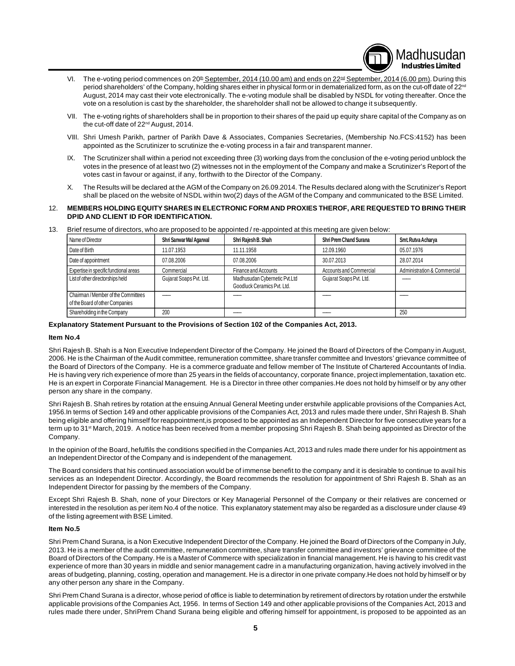**Industries Limited** VI. The e-voting period commences on 20<sup>th</sup> September, 2014 (10.00 am) and ends on 22<sup>nd</sup> September, 2014 (6.00 pm). During this period shareholders' of the Company, holding shares either in physical form or in dematerialized form, as on the cut-off date of 22<sup>nd</sup> August, 2014 may cast their vote electronically. The e-voting module shall be disabled by NSDL for voting thereafter. Once the vote on a resolution is cast by the shareholder, the shareholder shall not be allowed to change it subsequently.

Madhusudan

- VII. The e-voting rights of shareholders shall be in proportion to their shares of the paid up equity share capital of the Company as on the cut-off date of 22<sup>nd</sup> August, 2014.
- VIII. Shri Umesh Parikh, partner of Parikh Dave & Associates, Companies Secretaries, (Membership No.FCS:4152) has been appointed as the Scrutinizer to scrutinize the e-voting process in a fair and transparent manner.
- IX. The Scrutinizer shall within a period not exceeding three (3) working days from the conclusion of the e-voting period unblock the votes in the presence of at least two (2) witnesses not in the employment of the Company and make a Scrutinizer's Report of the votes cast in favour or against, if any, forthwith to the Director of the Company.
- X. The Results will be declared at the AGM of the Company on 26.09.2014. The Results declared along with the Scrutinizer's Report shall be placed on the website of NSDL within two(2) days of the AGM of the Company and communicated to the BSE Limited.

#### 12. **MEMBERS HOLDING EQUITY SHARES IN ELECTRONIC FORM AND PROXIES THEROF, ARE REQUESTED TO BRING THEIR DPID AND CLIENT ID FOR IDENTIFICATION.**

| $\sim$ | Brief resume of directors, who are proposed to be appointed / re-appointed at this meeting are given below: |  |  |
|--------|-------------------------------------------------------------------------------------------------------------|--|--|
|        |                                                                                                             |  |  |

| Name of Director                       | Shri Sanwar Mal Agarwal | Shri Rajesh B. Shah                                          | Shri Prem Chand Surana         | Smt. Rutva Acharya          |
|----------------------------------------|-------------------------|--------------------------------------------------------------|--------------------------------|-----------------------------|
| Date of Birth                          | 11.07.1953              | 11.11.1958                                                   | 12.09.1960                     | 05.07.1976                  |
| Date of appointment                    | 07.08.2006              | 07.08.2006                                                   | 30.07.2013                     | 28.07.2014                  |
| Expertise in specific functional areas | Commercial              | Finance and Accounts                                         | <b>Accounts and Commercial</b> | Administration & Commercial |
| List of other directorships held       | Gujarat Soaps Pvt. Ltd. | Madhusudan Cybernetic Pvt.Ltd<br>Goodluck Ceramics Pvt. Ltd. | Gujarat Soaps Pvt. Ltd.        |                             |
| Chairman / Member of the Committees    |                         |                                                              |                                |                             |
| of the Board of other Companies        |                         |                                                              |                                |                             |
| Shareholding in the Company            | 200                     |                                                              |                                | 250                         |

#### **Explanatory Statement Pursuant to the Provisions of Section 102 of the Companies Act, 2013.**

#### **Item No.4**

Shri Rajesh B. Shah is a Non Executive Independent Director of the Company. He joined the Board of Directors of the Company in August, 2006. He is the Chairman of the Audit committee, remuneration committee, share transfer committee and Investors' grievance committee of the Board of Directors of the Company. He is a commerce graduate and fellow member of The Institute of Chartered Accountants of India. He is having very rich experience of more than 25 years in the fields of accountancy, corporate finance, project implementation, taxation etc. He is an expert in Corporate Financial Management. He is a Director in three other companies.He does not hold by himself or by any other person any share in the company.

Shri Rajesh B. Shah retires by rotation at the ensuing Annual General Meeting under erstwhile applicable provisions of the Companies Act, 1956.In terms of Section 149 and other applicable provisions of the Companies Act, 2013 and rules made there under, Shri Rajesh B. Shah being eligible and offering himself for reappointment,is proposed to be appointed as an Independent Director for five consecutive years for a term up to 31<sup>st</sup> March, 2019. A notice has been received from a member proposing Shri Rajesh B. Shah being appointed as Director of the Company.

In the opinion of the Board, hefulfils the conditions specified in the Companies Act, 2013 and rules made there under for his appointment as an Independent Director of the Company and is independent of the management.

The Board considers that his continued association would be of immense benefit to the company and it is desirable to continue to avail his services as an Independent Director. Accordingly, the Board recommends the resolution for appointment of Shri Rajesh B. Shah as an Independent Director for passing by the members of the Company.

Except Shri Rajesh B. Shah, none of your Directors or Key Managerial Personnel of the Company or their relatives are concerned or interested in the resolution as per item No.4 of the notice. This explanatory statement may also be regarded as a disclosure under clause 49 of the listing agreement with BSE Limited.

#### **Item No.5**

Shri Prem Chand Surana, is a Non Executive Independent Director of the Company. He joined the Board of Directors of the Company in July, 2013. He is a member of the audit committee, remuneration committee, share transfer committee and investors' grievance committee of the Board of Directors of the Company. He is a Master of Commerce with specialization in financial management. He is having to his credit vast experience of more than 30 years in middle and senior management cadre in a manufacturing organization, having actively involved in the areas of budgeting, planning, costing, operation and management. He is a director in one private company.He does not hold by himself or by any other person any share in the Company.

Shri Prem Chand Surana is a director, whose period of office is liable to determination by retirement of directors by rotation under the erstwhile applicable provisions of the Companies Act, 1956. In terms of Section 149 and other applicable provisions of the Companies Act, 2013 and rules made there under, ShriPrem Chand Surana being eligible and offering himself for appointment, is proposed to be appointed as an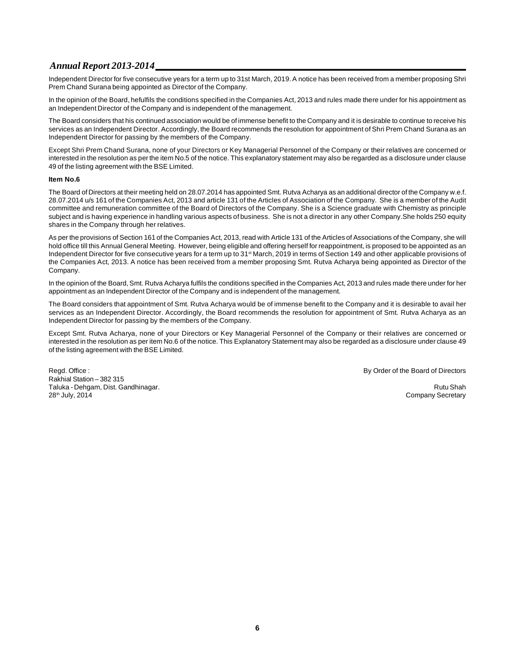Independent Director for five consecutive years for a term up to 31st March, 2019. A notice has been received from a member proposing Shri Prem Chand Surana being appointed as Director of the Company.

In the opinion of the Board, hefulfils the conditions specified in the Companies Act, 2013 and rules made there under for his appointment as an Independent Director of the Company and is independent of the management.

The Board considers that his continued association would be of immense benefit to the Company and it is desirable to continue to receive his services as an Independent Director. Accordingly, the Board recommends the resolution for appointment of Shri Prem Chand Surana as an Independent Director for passing by the members of the Company.

Except Shri Prem Chand Surana, none of your Directors or Key Managerial Personnel of the Company or their relatives are concerned or interested in the resolution as per the item No.5 of the notice. This explanatory statement may also be regarded as a disclosure under clause 49 of the listing agreement with the BSE Limited.

#### **Item No.6**

The Board of Directors at their meeting held on 28.07.2014 has appointed Smt. Rutva Acharya as an additional director of the Company w.e.f. 28.07.2014 u/s 161 of the Companies Act, 2013 and article 131 of the Articles of Association of the Company. She is a member of the Audit committee and remuneration committee of the Board of Directors of the Company. She is a Science graduate with Chemistry as principle subject and is having experience in handling various aspects of business. She is not a director in any other Company.She holds 250 equity shares in the Company through her relatives.

As per the provisions of Section 161 of the Companies Act, 2013, read with Article 131 of the Articles of Associations of the Company, she will hold office till this Annual General Meeting. However, being eligible and offering herself for reappointment, is proposed to be appointed as an Independent Director for five consecutive years for a term up to 31<sup>st</sup> March, 2019 in terms of Section 149 and other applicable provisions of the Companies Act, 2013. A notice has been received from a member proposing Smt. Rutva Acharya being appointed as Director of the Company.

In the opinion of the Board, Smt. Rutva Acharya fulfils the conditions specified in the Companies Act, 2013 and rules made there under for her appointment as an Independent Director of the Company and is independent of the management.

The Board considers that appointment of Smt. Rutva Acharya would be of immense benefit to the Company and it is desirable to avail her services as an Independent Director. Accordingly, the Board recommends the resolution for appointment of Smt. Rutva Acharya as an Independent Director for passing by the members of the Company.

Except Smt. Rutva Acharya, none of your Directors or Key Managerial Personnel of the Company or their relatives are concerned or interested in the resolution as per item No.6 of the notice. This Explanatory Statement may also be regarded as a disclosure under clause 49 of the listing agreement with the BSE Limited.

Regd. Office : **By Order of the Board of Directors By Order of the Board of Directors** Rakhial Station – 382 315 Taluka - Dehgam, Dist. Gandhinagar. Rutu Shah 28<sup>th</sup> July, 2014 **Company Secretary** Company Secretary **Company Secretary** Company Secretary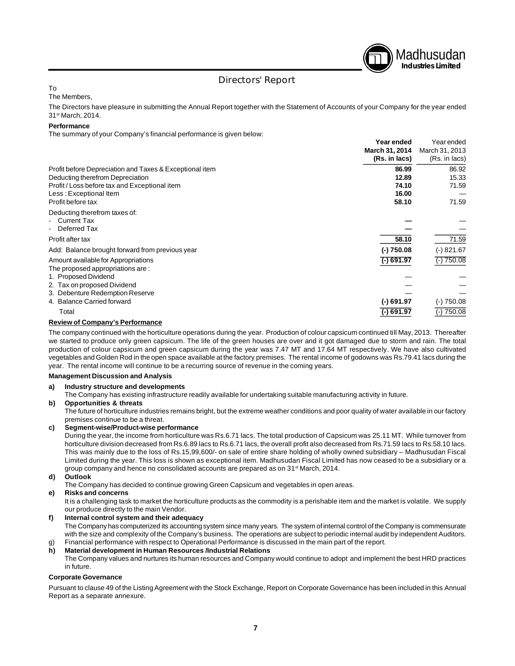

# Directors' Report

#### To

The Members,

The Directors have pleasure in submitting the Annual Report together with the Statement of Accounts of your Company for the year ended 31st March, 2014.

#### **Performance**

The summary of your Company's financial performance is given below:

|                                                                                       | Year ended<br>March 31, 2014<br>(Rs. in lacs) | Year ended<br>March 31, 2013<br>(Rs. in lacs) |
|---------------------------------------------------------------------------------------|-----------------------------------------------|-----------------------------------------------|
| Profit before Depreciation and Taxes & Exceptional item                               | 86.99                                         | 86.92                                         |
| Deducting therefrom Depreciation                                                      | 12.89                                         | 15.33                                         |
| Profit / Loss before tax and Exceptional item                                         | 74.10                                         | 71.59                                         |
| Less: Exceptional Item                                                                | 16.00                                         |                                               |
| Profit before tax                                                                     | 58.10                                         | 71.59                                         |
| Deducting therefrom taxes of:<br><b>Current Tax</b><br>Deferred Tax<br>$\blacksquare$ |                                               |                                               |
| Profit after tax                                                                      | 58.10                                         | 71.59                                         |
| Add: Balance brought forward from previous year                                       | $(-)750.08$                                   | $(-) 821.67$                                  |
| Amount available for Appropriations<br>The proposed appropriations are:               | $\overline{(-)}$ 691.97                       | $(-)750.08$                                   |
| 1. Proposed Dividend                                                                  |                                               |                                               |
| 2. Tax on proposed Dividend                                                           |                                               |                                               |
| 3. Debenture Redemption Reserve                                                       |                                               |                                               |
| 4. Balance Carried forward                                                            | $(-)$ 691.97                                  | $(-)750.08$                                   |
| Total                                                                                 | (-) 691.97                                    | 750.08                                        |

#### **Review of Company's Performance**

The company continued with the horticulture operations during the year. Production of colour capsicum continued till May, 2013. Thereafter we started to produce only green capsicum. The life of the green houses are over and it got damaged due to storm and rain. The total production of colour capsicum and green capsicum during the year was 7.47 MT and 17.64 MT respectively. We have also cultivated vegetables and Golden Rod in the open space available at the factory premises. The rental income of godowns was Rs.79.41 lacs during the year. The rental income will continue to be a recurring source of revenue in the coming years.

#### **Management Discussion and Analysis**

#### **a) Industry structure and developments**

The Company has existing infrastructure readily available for undertaking suitable manufacturing activity in future.

#### **b) Opportunities & threats**

The future of horticulture industries remains bright, but the extreme weather conditions and poor quality of water available in our factory premises continue to be a threat.

#### **c) Segment-wise/Product-wise performance**

During the year, the income from horticulture was Rs.6.71 lacs. The total production of Capsicum was 25.11 MT. While turnover from horticulture division decreased from Rs.6.89 lacs to Rs.6.71 lacs, the overall profit also decreased from Rs.71.59 lacs to Rs.58.10 lacs. This was mainly due to the loss of Rs.15,99,600/- on sale of entire share holding of wholly owned subsidiary – Madhusudan Fiscal Limited during the year. This loss is shown as exceptional item. Madhusudan Fiscal Limited has now ceased to be a subsidiary or a group company and hence no consolidated accounts are prepared as on 31<sup>st</sup> March, 2014.

#### **d) Outlook**

The Company has decided to continue growing Green Capsicum and vegetables in open areas.

## **e) Risks and concerns**

It is a challenging task to market the horticulture products as the commodity is a perishable item and the market is volatile. We supply our produce directly to the main Vendor.

#### **f) Internal control system and their adequacy**

The Company has computerized its accounting system since many years. The system of internal control of the Company is commensurate with the size and complexity of the Company's business. The operations are subject to periodic internal audit by independent Auditors.

#### g) Financial performance with respect to Operational Performance is discussed in the main part of the report.<br> **h)** Material development in Human Resources /Industrial Relations **h) Material development in Human Resources /Industrial Relations**

The Company values and nurtures its human resources and Company would continue to adopt and implement the best HRD practices in future.

#### **Corporate Governance**

Pursuant to clause 49 of the Listing Agreement with the Stock Exchange, Report on Corporate Governance has been included in this Annual Report as a separate annexure.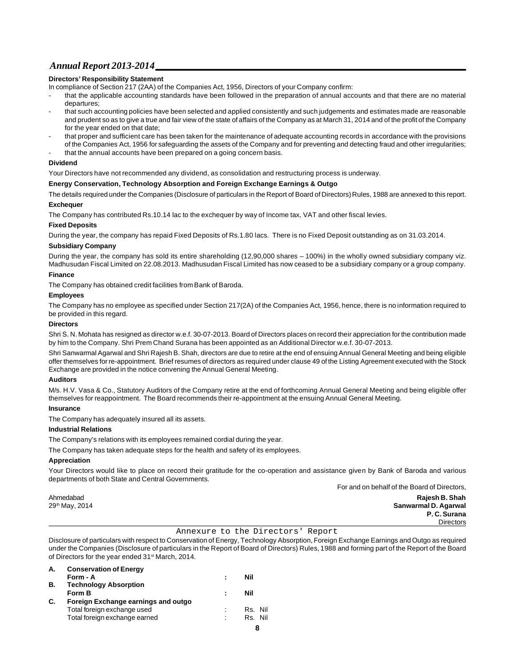#### **Directors' Responsibility Statement**

In compliance of Section 217 (2AA) of the Companies Act, 1956, Directors of your Company confirm:

- that the applicable accounting standards have been followed in the preparation of annual accounts and that there are no material departures;
- that such accounting policies have been selected and applied consistently and such judgements and estimates made are reasonable and prudent so as to give a true and fair view of the state of affairs of the Company as at March 31, 2014 and of the profit of the Company for the year ended on that date;
- that proper and sufficient care has been taken for the maintenance of adequate accounting records in accordance with the provisions of the Companies Act, 1956 for safeguarding the assets of the Company and for preventing and detecting fraud and other irregularities; that the annual accounts have been prepared on a going concern basis.

#### **Dividend**

Your Directors have not recommended any dividend, as consolidation and restructuring process is underway.

#### **Energy Conservation, Technology Absorption and Foreign Exchange Earnings & Outgo**

The details required under the Companies (Disclosure of particulars in the Report of Board of Directors) Rules, 1988 are annexed to this report. **Exchequer**

The Company has contributed Rs.10.14 lac to the exchequer by way of Income tax, VAT and other fiscal levies.

#### **Fixed Deposits**

During the year, the company has repaid Fixed Deposits of Rs.1.80 lacs. There is no Fixed Deposit outstanding as on 31.03.2014.

#### **Subsidiary Company**

During the year, the company has sold its entire shareholding (12,90,000 shares – 100%) in the wholly owned subsidiary company viz. Madhusudan Fiscal Limited on 22.08.2013. Madhusudan Fiscal Limited has now ceased to be a subsidiary company or a group company.

#### **Finance**

The Company has obtained credit facilities from Bank of Baroda.

#### **Employees**

The Company has no employee as specified under Section 217(2A) of the Companies Act, 1956, hence, there is no information required to be provided in this regard.

#### **Directors**

Shri S. N. Mohata has resigned as director w.e.f. 30-07-2013. Board of Directors places on record their appreciation for the contribution made by him to the Company. Shri Prem Chand Surana has been appointed as an Additional Director w.e.f. 30-07-2013.

Shri Sanwarmal Agarwal and Shri Rajesh B. Shah, directors are due to retire at the end of ensuing Annual General Meeting and being eligible offer themselves for re-appointment. Brief resumes of directors as required under clause 49 of the Listing Agreement executed with the Stock Exchange are provided in the notice convening the Annual General Meeting.

#### **Auditors**

M/s. H.V. Vasa & Co., Statutory Auditors of the Company retire at the end of forthcoming Annual General Meeting and being eligible offer themselves for reappointment. The Board recommends their re-appointment at the ensuing Annual General Meeting.

#### **Insurance**

The Company has adequately insured all its assets.

#### **Industrial Relations**

The Company's relations with its employees remained cordial during the year.

The Company has taken adequate steps for the health and safety of its employees.

#### **Appreciation**

Your Directors would like to place on record their gratitude for the co-operation and assistance given by Bank of Baroda and various departments of both State and Central Governments.

For and on behalf of the Board of Directors,

Ahmedabad **Rajesh B. Shah** 29th May, 2014 **Sanwarmal D. Agarwal P. C. Surana Directors** 

#### Annexure to the Directors' Report

Disclosure of particulars with respect to Conservation of Energy, Technology Absorption, Foreign Exchange Earnings and Outgo as required under the Companies (Disclosure of particulars in the Report of Board of Directors) Rules, 1988 and forming part of the Report of the Board of Directors for the year ended 31<sup>st</sup> March, 2014.

| А. | <b>Conservation of Energy</b>       |   |                          |
|----|-------------------------------------|---|--------------------------|
|    | Form - A                            | ÷ | Nil                      |
| В. | <b>Technology Absorption</b>        |   |                          |
|    | Form B                              |   | Nil                      |
| C. | Foreign Exchange earnings and outgo |   |                          |
|    | Total foreign exchange used         |   | Rs. Nil                  |
|    | Total foreign exchange earned       | ٠ | Rs. Nil                  |
|    |                                     |   | $\overline{\phantom{a}}$ |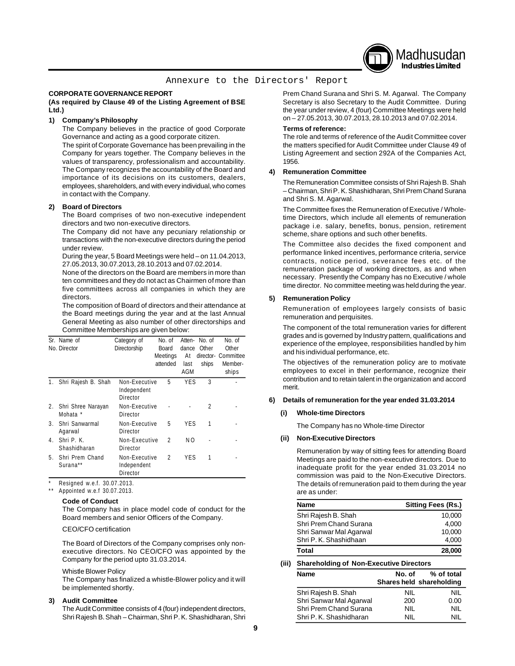

#### Annexure to the Directors' Report

#### **CORPORATE GOVERNANCE REPORT**

#### **(As required by Clause 49 of the Listing Agreement of BSE Ltd.)**

#### **1) Company's Philosophy**

The Company believes in the practice of good Corporate Governance and acting as a good corporate citizen.

The spirit of Corporate Governance has been prevailing in the Company for years together. The Company believes in the values of transparency, professionalism and accountability. The Company recognizes the accountability of the Board and importance of its decisions on its customers, dealers, employees, shareholders, and with every individual, who comes in contact with the Company.

#### **2) Board of Directors**

The Board comprises of two non-executive independent directors and two non-executive directors.

The Company did not have any pecuniary relationship or transactions with the non-executive directors during the period under review.

During the year, 5 Board Meetings were held – on 11.04.2013, 27.05.2013, 30.07.2013, 28.10.2013 and 07.02.2014.

None of the directors on the Board are members in more than ten committees and they do not act as Chairmen of more than five committees across all companies in which they are directors.

The composition of Board of directors and their attendance at the Board meetings during the year and at the last Annual General Meeting as also number of other directorships and Committee Memberships are given below:

|    | Sr. Name of<br>No. Director    | Category of<br>Directorship              | No. of<br><b>Board</b><br>Meetings<br>attended | Atten-<br>dance<br>At<br>last<br>AGM | No. of<br>Other<br>ships | No. of<br>Other<br>director- Committee<br>Member-<br>ships |
|----|--------------------------------|------------------------------------------|------------------------------------------------|--------------------------------------|--------------------------|------------------------------------------------------------|
|    | Shri Rajesh B. Shah            | Non-Executive<br>Independent<br>Director | 5                                              | YES                                  | 3                        |                                                            |
| 2. | Shri Shree Narayan<br>Mohata * | Non-Executive<br>Director                |                                                |                                      | 2                        |                                                            |
| 3. | Shri Sanwarmal<br>Agarwal      | Non-Executive<br>Director                | 5                                              | YES                                  | 1                        |                                                            |
| 4. | Shri P. K.<br>Shashidharan     | Non-Executive<br>Director                | 2                                              | NO.                                  |                          |                                                            |
| 5. | Shri Prem Chand<br>Surana**    | Non-Executive<br>Independent<br>Director | $\mathfrak{p}$                                 | YFS                                  | 1                        |                                                            |

Resigned w.e.f. 30.07.2013.

Appointed w.e.f 30.07.2013.

#### **Code of Conduct**

The Company has in place model code of conduct for the Board members and senior Officers of the Company.

#### CEO/CFO certification

The Board of Directors of the Company comprises only nonexecutive directors. No CEO/CFO was appointed by the Company for the period upto 31.03.2014.

#### Whistle Blower Policy

The Company has finalized a whistle-Blower policy and it will be implemented shortly.

#### **3) Audit Committee**

The Audit Committee consists of 4 (four) independent directors, Shri Rajesh B. Shah – Chairman, Shri P. K. Shashidharan, Shri Prem Chand Surana and Shri S. M. Agarwal. The Company Secretary is also Secretary to the Audit Committee. During the year under review, 4 (four) Committee Meetings were held on – 27.05.2013, 30.07.2013, 28.10.2013 and 07.02.2014.

#### **Terms of reference:**

The role and terms of reference of the Audit Committee cover the matters specified for Audit Committee under Clause 49 of Listing Agreement and section 292A of the Companies Act, 1956.

#### **4) Remuneration Committee**

The Remuneration Committee consists of Shri Rajesh B. Shah – Chairman, Shri P. K. Shashidharan, Shri Prem Chand Surana and Shri S. M. Agarwal.

The Committee fixes the Remuneration of Executive / Wholetime Directors, which include all elements of remuneration package i.e. salary, benefits, bonus, pension, retirement scheme, share options and such other benefits.

The Committee also decides the fixed component and performance linked incentives, performance criteria, service contracts, notice period, severance fees etc. of the remuneration package of working directors, as and when necessary. Presently the Company has no Executive / whole time director. No committee meeting was held during the year.

#### **5) Remuneration Policy**

Remuneration of employees largely consists of basic remuneration and perquisites.

The component of the total remuneration varies for different grades and is governed by Industry pattern, qualifications and experience of the employee, responsibilities handled by him and his individual performance, etc.

The objectives of the remuneration policy are to motivate employees to excel in their performance, recognize their contribution and to retain talent in the organization and accord merit.

#### **6) Details of remuneration for the year ended 31.03.2014**

#### **(i) Whole-time Directors**

The Company has no Whole-time Director

#### **(ii) Non-Executive Directors**

Remuneration by way of sitting fees for attending Board Meetings are paid to the non-executive directors. Due to inadequate profit for the year ended 31.03.2014 no commission was paid to the Non-Executive Directors. The details of remuneration paid to them during the year are as under:

| <b>Name</b>             | <b>Sitting Fees (Rs.)</b> |
|-------------------------|---------------------------|
| Shri Rajesh B. Shah     | 10.000                    |
| Shri Prem Chand Surana  | 4.000                     |
| Shri Sanwar Mal Agarwal | 10.000                    |
| Shri P. K. Shashidhaan  | 4.000                     |
| Total                   | 28,000                    |

#### **(iii) Shareholding of Non-Executive Directors**

| <b>Name</b>             | No. of | % of total               |
|-------------------------|--------|--------------------------|
|                         |        | Shares held shareholding |
| Shri Rajesh B. Shah     | NIL    | NIL                      |
| Shri Sanwar Mal Agarwal | 200    | 0.00                     |
| Shri Prem Chand Surana  | NIL    | NIL                      |
| Shri P. K. Shashidharan | NIL    | NII                      |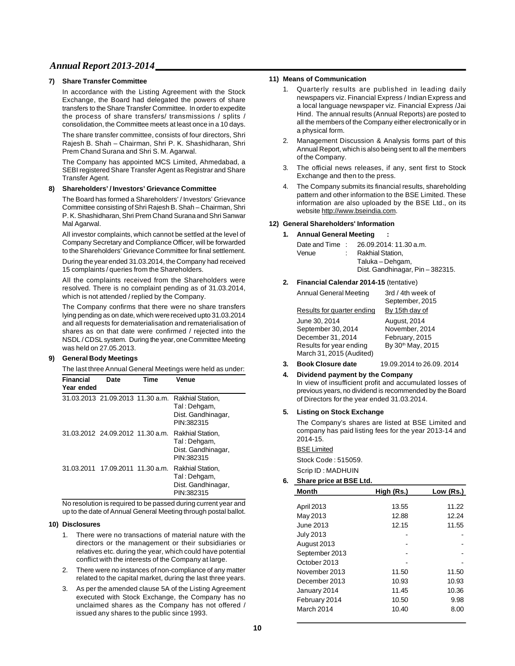#### **7) Share Transfer Committee**

In accordance with the Listing Agreement with the Stock Exchange, the Board had delegated the powers of share transfers to the Share Transfer Committee. In order to expedite the process of share transfers/ transmissions / splits / consolidation, the Committee meets at least once in a 10 days.

The share transfer committee, consists of four directors, Shri Rajesh B. Shah – Chairman, Shri P. K. Shashidharan, Shri Prem Chand Surana and Shri S. M. Agarwal.

The Company has appointed MCS Limited, Ahmedabad, a SEBI registered Share Transfer Agent as Registrar and Share Transfer Agent.

#### **8) Shareholders' / Investors' Grievance Committee**

The Board has formed a Shareholders' / Investors' Grievance Committee consisting of Shri Rajesh B. Shah – Chairman, Shri P. K. Shashidharan, Shri Prem Chand Surana and Shri Sanwar Mal Agarwal.

All investor complaints, which cannot be settled at the level of Company Secretary and Compliance Officer, will be forwarded to the Shareholders' Grievance Committee for final settlement.

During the year ended 31.03.2014, the Company had received 15 complaints / queries from the Shareholders.

All the complaints received from the Shareholders were resolved. There is no complaint pending as of 31.03.2014, which is not attended / replied by the Company.

The Company confirms that there were no share transfers lying pending as on date, which were received upto 31.03.2014 and all requests for dematerialisation and rematerialisation of shares as on that date were confirmed / rejected into the NSDL / CDSL system. During the year, one Committee Meeting was held on 27.05.2013.

#### **9) General Body Meetings**

The last three Annual General Meetings were held as under:

| <b>Financial</b><br>Year ended | Date                             | Time | Venue                                                                |
|--------------------------------|----------------------------------|------|----------------------------------------------------------------------|
|                                | 31.03.2013 21.09.2013 11.30 a.m. |      | Rakhial Station,<br>Tal: Dehgam,<br>Dist. Gandhinagar,<br>PIN:382315 |
|                                | 31.03.2012 24.09.2012 11.30 a.m. |      | Rakhial Station.<br>Tal: Dehgam,<br>Dist. Gandhinagar,<br>PIN:382315 |
| 31.03.2011                     | 17.09.2011 11.30 a.m.            |      | Rakhial Station,<br>Tal: Dehgam,<br>Dist. Gandhinagar,<br>PIN:382315 |

No resolution is required to be passed during current year and up to the date of Annual General Meeting through postal ballot.

#### **10) Disclosures**

- 1. There were no transactions of material nature with the directors or the management or their subsidiaries or relatives etc. during the year, which could have potential conflict with the interests of the Company at large.
- 2. There were no instances of non-compliance of any matter related to the capital market, during the last three years.
- 3. As per the amended clause 5A of the Listing Agreement executed with Stock Exchange, the Company has no unclaimed shares as the Company has not offered / issued any shares to the public since 1993.

#### **11) Means of Communication**

- 1. Quarterly results are published in leading daily newspapers viz. Financial Express / Indian Express and a local language newspaper viz. Financial Express /Jai Hind. The annual results (Annual Reports) are posted to all the members of the Company either electronically or in a physical form.
- 2. Management Discussion & Analysis forms part of this Annual Report, which is also being sent to all the members of the Company.
- 3. The official news releases, if any, sent first to Stock Exchange and then to the press.
- 4. The Company submits its financial results, shareholding pattern and other information to the BSE Limited. These information are also uploaded by the BSE Ltd., on its website http://www.bseindia.com.

#### **12) General Shareholders' Information**

#### **1. Annual General Meeting :**

| Date and Time: | 26.09.2014: 11.30 a.m.         |
|----------------|--------------------------------|
| Venue          | Rakhial Station.               |
|                | Taluka – Dehgam,               |
|                | Dist. Gandhinagar, Pin-382315. |
|                |                                |

#### **2. Financial Calendar 2014-15** (tentative)

| <b>Annual General Meeting</b>                                                                                   | 3rd / 4th week of<br>September, 2015                                  |
|-----------------------------------------------------------------------------------------------------------------|-----------------------------------------------------------------------|
| Results for quarter ending                                                                                      | By 15th day of                                                        |
| June 30, 2014<br>September 30, 2014<br>December 31, 2014<br>Results for year ending<br>March 31, 2015 (Audited) | August, 2014<br>November, 2014<br>February, 2015<br>By 30th May, 2015 |
| <b>Book Closure date</b>                                                                                        | 19.09.2014 to 26.09, 2014                                             |

- 
- **4. Dividend payment by the Company** In view of insufficient profit and accumulated losses of previous years, no dividend is recommended by the Board of Directors for the year ended 31.03.2014.

#### **5. Listing on Stock Exchange**

The Company's shares are listed at BSE Limited and company has paid listing fees for the year 2013-14 and 2014-15.

### BSE Limited

Stock Code : 515059.

#### Scrip ID : MADHUIN **6. Share price at BSE Ltd.**

| <b>Month</b>     | High (Rs.) | Low (Rs.) |
|------------------|------------|-----------|
|                  |            |           |
| April 2013       | 13.55      | 11.22     |
| May 2013         | 12.88      | 12.24     |
| June 2013        | 12.15      | 11.55     |
| <b>July 2013</b> |            |           |
| August 2013      |            |           |
| September 2013   |            |           |
| October 2013     |            |           |
| November 2013    | 11.50      | 11.50     |
| December 2013    | 10.93      | 10.93     |
| January 2014     | 11.45      | 10.36     |
| February 2014    | 10.50      | 9.98      |
| March 2014       | 10.40      | 8.00      |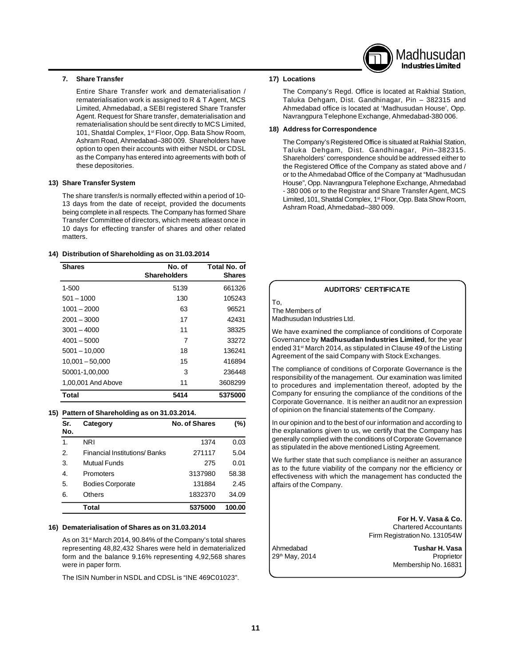### **7. Share Transfer**

Entire Share Transfer work and dematerialisation / rematerialisation work is assigned to R & T Agent, MCS Limited, Ahmedabad, a SEBI registered Share Transfer Agent. Request for Share transfer, dematerialisation and rematerialisation should be sent directly to MCS Limited, 101, Shatdal Complex, 1<sup>st</sup> Floor, Opp. Bata Show Room, Ashram Road, Ahmedabad–380 009. Shareholders have option to open their accounts with either NSDL or CDSL as the Company has entered into agreements with both of these depositories.

#### **13) Share Transfer System**

The share transfer/s is normally effected within a period of 10- 13 days from the date of receipt, provided the documents being complete in all respects. The Company has formed Share Transfer Committee of directors, which meets atleast once in 10 days for effecting transfer of shares and other related matters.

#### **14) Distribution of Shareholding as on 31.03.2014**

| <b>Shares</b>      | No. of<br><b>Shareholders</b> | Total No. of<br><b>Shares</b> |
|--------------------|-------------------------------|-------------------------------|
| $1 - 500$          | 5139                          | 661326                        |
| $501 - 1000$       | 130                           | 105243                        |
| 1001 – 2000        | 63                            | 96521                         |
| $2001 - 3000$      | 17                            | 42431                         |
| $3001 - 4000$      | 11                            | 38325                         |
| $4001 - 5000$      | 7                             | 33272                         |
| $5001 - 10,000$    | 18                            | 136241                        |
| $10.001 - 50.000$  | 15                            | 416894                        |
| 50001-1,00,000     | 3                             | 236448                        |
| 1,00,001 And Above | 11                            | 3608299                       |
| Total              | 5414                          | 5375000                       |

#### **15) Pattern of Shareholding as on 31.03.2014.**

| Sr.<br>No. | Category                     | <b>No. of Shares</b> | (%)    |
|------------|------------------------------|----------------------|--------|
| 1.         | <b>NRI</b>                   | 1374                 | 0.03   |
| 2.         | Financial Institutions/Banks | 271117               | 5.04   |
| 3.         | <b>Mutual Funds</b>          | 275                  | 0.01   |
| 4.         | Promoters                    | 3137980              | 58.38  |
| 5.         | <b>Bodies Corporate</b>      | 131884               | 2.45   |
| 6.         | <b>Others</b>                | 1832370              | 34.09  |
|            | Total                        | 5375000              | 100.00 |

#### **16) Dematerialisation of Shares as on 31.03.2014**

As on 31st March 2014, 90.84% of the Company's total shares representing 48,82,432 Shares were held in dematerialized form and the balance 9.16% representing 4,92,568 shares were in paper form.

The ISIN Number in NSDL and CDSL is "INE 469C01023".

#### **17) Locations**

The Company's Regd. Office is located at Rakhial Station, Taluka Dehgam, Dist. Gandhinagar, Pin – 382315 and Ahmedabad office is located at 'Madhusudan House', Opp. Navrangpura Telephone Exchange, Ahmedabad-380 006.

Madhusudan **Industries Limited**

#### **18) Address for Correspondence**

The Company's Registered Office is situated at Rakhial Station, Taluka Dehgam, Dist. Gandhinagar, Pin–382315. Shareholders' correspondence should be addressed either to the Registered Office of the Company as stated above and / or to the Ahmedabad Office of the Company at "Madhusudan House", Opp. Navrangpura Telephone Exchange, Ahmedabad - 380 006 or to the Registrar and Share Transfer Agent, MCS Limited, 101, Shatdal Complex, 1<sup>st</sup> Floor, Opp. Bata Show Room, Ashram Road, Ahmedabad–380 009.

|                                                         | <b>AUDITORS' CERTIFICATE</b>                                                                                                                                                                                                                                                                                               |
|---------------------------------------------------------|----------------------------------------------------------------------------------------------------------------------------------------------------------------------------------------------------------------------------------------------------------------------------------------------------------------------------|
| To,<br>The Members of<br>Madhusudan Industries Ltd.     |                                                                                                                                                                                                                                                                                                                            |
| Agreement of the said Company with Stock Exchanges.     | We have examined the compliance of conditions of Corporate<br>Governance by Madhusudan Industries Limited, for the year<br>ended 31 <sup>st</sup> March 2014, as stipulated in Clause 49 of the Listing                                                                                                                    |
| of opinion on the financial statements of the Company.  | The compliance of conditions of Corporate Governance is the<br>responsibility of the management. Our examination was limited<br>to procedures and implementation thereof, adopted by the<br>Company for ensuring the compliance of the conditions of the<br>Corporate Governance. It is neither an audit nor an expression |
| as stipulated in the above mentioned Listing Agreement. | In our opinion and to the best of our information and according to<br>the explanations given to us, we certify that the Company has<br>generally complied with the conditions of Corporate Governance                                                                                                                      |
| affairs of the Company.                                 | We further state that such compliance is neither an assurance<br>as to the future viability of the company nor the efficiency or<br>effectiveness with which the management has conducted the                                                                                                                              |
|                                                         | For H.V. Vasa & Co.<br><b>Chartered Accountants</b><br>Firm Registration No. 131054W                                                                                                                                                                                                                                       |
| Ahmedabad                                               | Tushar H. Vasa                                                                                                                                                                                                                                                                                                             |

29<sup>th</sup> May, 2014 **Proprietor** Membership No. 16831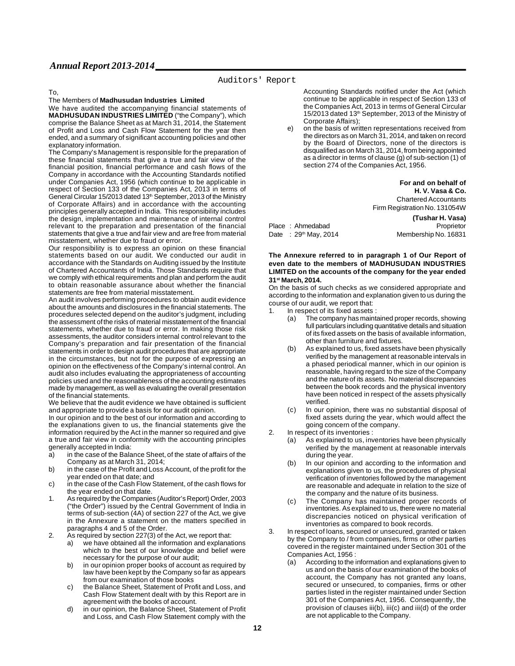#### **Auditors' Report**

#### To,

The Members of **Madhusudan Industries Limited**

We have audited the accompanying financial statements of **MADHUSUDAN INDUSTRIES LIMITED** ("the Company"), which comprise the Balance Sheet as at March 31, 2014, the Statement of Profit and Loss and Cash Flow Statement for the year then ended, and a summary of significant accounting policies and other explanatory information.

The Company's Management is responsible for the preparation of these financial statements that give a true and fair view of the financial position, financial performance and cash flows of the Company in accordance with the Accounting Standards notified under Companies Act, 1956 (which continue to be applicable in respect of Section 133 of the Companies Act, 2013 in terms of General Circular 15/2013 dated 13<sup>th</sup> September, 2013 of the Ministry of Corporate Affairs) and in accordance with the accounting principles generally accepted in India. This responsibility includes the design, implementation and maintenance of internal control relevant to the preparation and presentation of the financial statements that give a true and fair view and are free from material misstatement, whether due to fraud or error.

Our responsibility is to express an opinion on these financial statements based on our audit. We conducted our audit in accordance with the Standards on Auditing issued by the Institute of Chartered Accountants of India. Those Standards require that we comply with ethical requirements and plan and perform the audit to obtain reasonable assurance about whether the financial statements are free from material misstatement.

An audit involves performing procedures to obtain audit evidence about the amounts and disclosures in the financial statements. The procedures selected depend on the auditor's judgment, including the assessment of the risks of material misstatement of the financial statements, whether due to fraud or error. In making those risk assessments, the auditor considers internal control relevant to the Company's preparation and fair presentation of the financial statements in order to design audit procedures that are appropriate in the circumstances, but not for the purpose of expressing an opinion on the effectiveness of the Company's internal control. An audit also includes evaluating the appropriateness of accounting policies used and the reasonableness of the accounting estimates made by management, as well as evaluating the overall presentation of the financial statements.

We believe that the audit evidence we have obtained is sufficient and appropriate to provide a basis for our audit opinion.

In our opinion and to the best of our information and according to the explanations given to us, the financial statements give the information required by the Act in the manner so required and give a true and fair view in conformity with the accounting principles generally accepted in India:

- a) in the case of the Balance Sheet, of the state of affairs of the Company as at March 31, 2014;
- b) in the case of the Profit and Loss Account, of the profit for the year ended on that date; and
- c) in the case of the Cash Flow Statement, of the cash flows for the year ended on that date.
- 1. As required by the Companies (Auditor's Report) Order, 2003 ("the Order") issued by the Central Government of India in terms of sub-section (4A) of section 227 of the Act, we give in the Annexure a statement on the matters specified in paragraphs 4 and 5 of the Order.
- 2. As required by section 227(3) of the Act, we report that:
	- a) we have obtained all the information and explanations which to the best of our knowledge and belief were necessary for the purpose of our audit;
	- b) in our opinion proper books of account as required by law have been kept by the Company so far as appears from our examination of those books
	- c) the Balance Sheet, Statement of Profit and Loss, and Cash Flow Statement dealt with by this Report are in agreement with the books of account.
	- d) in our opinion, the Balance Sheet, Statement of Profit and Loss, and Cash Flow Statement comply with the

Accounting Standards notified under the Act (which continue to be applicable in respect of Section 133 of the Companies Act, 2013 in terms of General Circular 15/2013 dated 13th September, 2013 of the Ministry of Corporate Affairs);

on the basis of written representations received from the directors as on March 31, 2014, and taken on record by the Board of Directors, none of the directors is disqualified as on March 31, 2014, from being appointed as a director in terms of clause (g) of sub-section (1) of section 274 of the Companies Act, 1956.

> **For and on behalf of H. V. Vasa & Co.** Chartered Accountants Firm Registration No. 131054W

**(Tushar H. Vasa)** Place : Ahmedabad Proprietor Date : 29<sup>th</sup> May, 2014 Membership No. 16831

#### **The Annexure referred to in paragraph 1 of Our Report of even date to the members of MADHUSUDAN INDUSTRIES LIMITED on the accounts of the company for the year ended 31st March, 2014.**

On the basis of such checks as we considered appropriate and according to the information and explanation given to us during the course of our audit, we report that:

- In respect of its fixed assets :
	- (a) The company has maintained proper records, showing full particulars including quantitative details and situation of its fixed assets on the basis of available information, other than furniture and fixtures.
	- (b) As explained to us, fixed assets have been physically verified by the management at reasonable intervals in a phased periodical manner, which in our opinion is reasonable, having regard to the size of the Company and the nature of its assets. No material discrepancies between the book records and the physical inventory have been noticed in respect of the assets physically verified.
	- (c) In our opinion, there was no substantial disposal of fixed assets during the year, which would affect the going concern of the company.
- 2. In respect of its inventories :
	- (a) As explained to us, inventories have been physically verified by the management at reasonable intervals during the year.
	- (b) In our opinion and according to the information and explanations given to us, the procedures of physical verification of inventories followed by the management are reasonable and adequate in relation to the size of the company and the nature of its business.
	- (c) The Company has maintained proper records of inventories. As explained to us, there were no material discrepancies noticed on physical verification of inventories as compared to book records.
- 3. In respect of loans, secured or unsecured, granted or taken by the Company to / from companies, firms or other parties covered in the register maintained under Section 301 of the Companies Act, 1956 :
	- (a) According to the information and explanations given to us and on the basis of our examination of the books of account, the Company has not granted any loans, secured or unsecured, to companies, firms or other parties listed in the register maintained under Section 301 of the Companies Act, 1956. Consequently, the provision of clauses iii(b), iii(c) and iii(d) of the order are not applicable to the Company.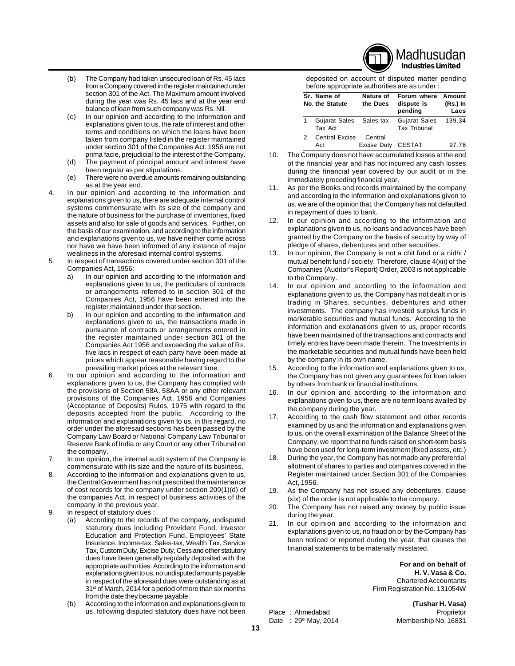

- (b) The Company had taken unsecured loan of Rs. 45 lacs from a Company covered in the register maintained under section 301 of the Act. The Maximum amount involved during the year was Rs. 45 lacs and at the year end balance of loan from such company was Rs. Nil.
- (c) In our opinion and according to the information and explanations given to us, the rate of interest and other terms and conditions on which the loans have been taken from company listed in the register maintained under section 301 of the Companies Act. 1956 are not prima facie, prejudicial to the interest of the Company.
- (d) The payment of principal amount and interest have been regular as per stipulations.
- (e) There were no overdue amounts remaining outstanding as at the year end.
- 4. In our opinion and according to the information and explanations given to us, there are adequate internal control systems commensurate with its size of the company and the nature of business for the purchase of inventories, fixed assets and also for sale of goods and services. Further, on the basis of our examination, and according to the information and explanations given to us, we have neither come across nor have we have been informed of any instance of major weakness in the aforesaid internal control systems.
- 5. In respect of transactions covered under section 301 of the Companies Act, 1956:
	- a) In our opinion and according to the information and explanations given to us, the particulars of contracts or arrangements referred to in section 301 of the Companies Act, 1956 have been entered into the register maintained under that section.
	- b) In our opinion and according to the information and explanations given to us, the transactions made in pursuance of contracts or arrangements entered in the register maintained under section 301 of the Companies Act 1956 and exceeding the value of Rs. five lacs in respect of each party have been made at prices which appear reasonable having regard to the prevailing market prices at the relevant time.
- 6. In our opinion and according to the information and explanations given to us, the Company has complied with the provisions of Section 58A, 58AA or any other relevant provisions of the Companies Act, 1956 and Companies (Acceptance of Deposits) Rules, 1975 with regard to the deposits accepted from the public. According to the information and explanations given to us, in this regard, no order under the aforesaid sections has been passed by the Company Law Board or National Company Law Tribunal or Reserve Bank of India or any Court or any other Tribunal on the company.
- 7. In our opinion, the internal audit system of the Company is commensurate with its size and the nature of its business.
- 8. According to the information and explanations given to us, the Central Government has not prescribed the maintenance of cost records for the company under section 209(1)(d) of the companies Act, in respect of business activities of the company in the previous year.
- 9. In respect of statutory dues :
	- (a) According to the records of the company, undisputed statutory dues including Provident Fund, Investor Education and Protection Fund, Employees' State Insurance, Income-tax, Sales-tax, Wealth Tax, Service Tax, Custom Duty, Excise Duty, Cess and other statutory dues have been generally regularly deposited with the appropriate authorities. According to the information and explanations given to us, no undisputed amounts payable in respect of the aforesaid dues were outstanding as at 31<sup>st</sup> of March, 2014 for a period of more than six months from the date they became payable.
		- (b) According to the information and explanations given to us, following disputed statutory dues have not been

deposited on account of disputed matter pending before appropriate authorities are as under :

| Sr. Name of<br>No. the Statute     | Nature of<br>the Dues         | Forum where<br>dispute is<br>pending        | Amount<br>(Rs.) In<br>Lacs |
|------------------------------------|-------------------------------|---------------------------------------------|----------------------------|
| Gujarat Sales Sales-tax<br>Tax Act |                               | <b>Gujarat Sales</b><br><b>Tax Tribunal</b> | 139.34                     |
| <b>Central Excise</b><br>Act       | Central<br>Excise Duty CESTAT |                                             | 97.76                      |

- 10. The Company does not have accumulated losses at the end of the financial year and has not incurred any cash losses during the financial year covered by our audit or in the immediately preceding financial year.
- 11. As per the Books and records maintained by the company and according to the information and explanations given to us, we are of the opinion that, the Company has not defaulted in repayment of dues to bank.
- 12. In our opinion and according to the information and explanations given to us, no loans and advances have been granted by the Company on the basis of security by way of pledge of shares, debentures and other securities.
- In our opinion, the Company is not a chit fund or a nidhi / mutual benefit fund / society. Therefore, clause 4(xii) of the Companies (Auditor's Report) Order, 2003 is not applicable to the Company.
- 14. In our opinion and according to the information and explanations given to us, the Company has not dealt in or is trading in Shares, securities, debentures and other investments. The company has invested surplus funds in marketable securities and mutual funds. According to the information and explanations given to us, proper records have been maintained of the transactions and contracts and timely entries have been made therein. The Investments in the marketable securities and mutual funds have been held by the company in its own name.
- 15. According to the information and explanations given to us, the Company has not given any guarantees for loan taken by others from bank or financial institutions.
- 16. In our opinion and according to the information and explanations given to us, there are no term loans availed by the company during the year.
- 17. According to the cash flow statement and other records examined by us and the information and explanations given to us, on the overall examination of the Balance Sheet of the Company, we report that no funds raised on short-term basis have been used for long-term investment (fixed assets, etc.)
- 18. During the year, the Company has not made any preferential allotment of shares to parties and companies covered in the Register maintained under Section 301 of the Companies Act, 1956.
- 19. As the Company has not issued any debentures, clause (xix) of the order is not applicable to the company.
- 20. The Company has not raised any money by public issue during the year.
- 21. In our opinion and according to the information and explanations given to us, no fraud on or by the Company has been noticed or reported during the year, that causes the financial statements to be materially misstated.

 **For and on behalf of H. V. Vasa & Co.** Chartered Accountants Firm Registration No. 131054W

**(Tushar H. Vasa)** Place : Ahmedabad Proprietor Date : 29<sup>th</sup> May, 2014 Membership No. 16831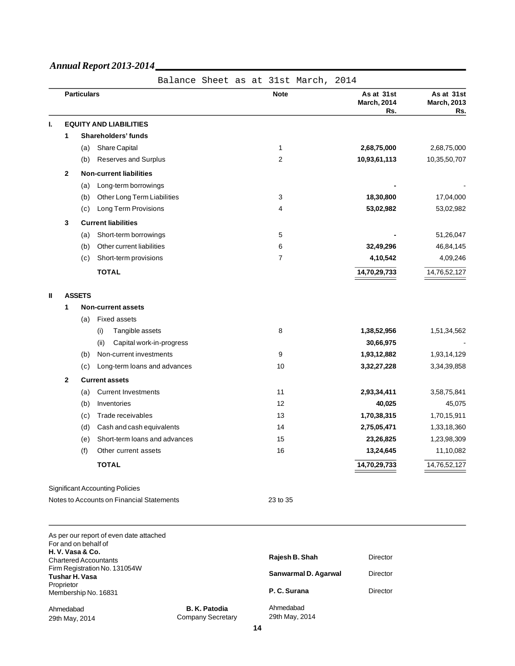Proprietor

Ahmedabad 29th May, 2014

Membership No. 16831

|    |              |                                         |                                           |  | Balance Sheet as at 31st March, 2014 |                                         |                                         |
|----|--------------|-----------------------------------------|-------------------------------------------|--|--------------------------------------|-----------------------------------------|-----------------------------------------|
|    |              | <b>Particulars</b>                      |                                           |  | <b>Note</b>                          | As at 31st<br><b>March, 2014</b><br>Rs. | As at 31st<br><b>March, 2013</b><br>Rs. |
| т. |              |                                         | <b>EQUITY AND LIABILITIES</b>             |  |                                      |                                         |                                         |
|    | 1            |                                         | Shareholders' funds                       |  |                                      |                                         |                                         |
|    |              | (a)                                     | Share Capital                             |  | 1                                    | 2,68,75,000                             | 2,68,75,000                             |
|    |              | (b)                                     | Reserves and Surplus                      |  | 2                                    | 10,93,61,113                            | 10,35,50,707                            |
|    | $\mathbf{2}$ |                                         | <b>Non-current liabilities</b>            |  |                                      |                                         |                                         |
|    |              | (a)                                     | Long-term borrowings                      |  |                                      |                                         |                                         |
|    |              | (b)                                     | Other Long Term Liabilities               |  | 3                                    | 18,30,800                               | 17,04,000                               |
|    |              | (c)                                     | Long Term Provisions                      |  | 4                                    | 53,02,982                               | 53,02,982                               |
|    | 3            |                                         | <b>Current liabilities</b>                |  |                                      |                                         |                                         |
|    |              | (a)                                     | Short-term borrowings                     |  | 5                                    |                                         | 51,26,047                               |
|    |              | (b)                                     | Other current liabilities                 |  | 6                                    | 32,49,296                               | 46,84,145                               |
|    |              | (c)                                     | Short-term provisions                     |  | $\overline{7}$                       | 4,10,542                                | 4,09,246                                |
|    |              |                                         | <b>TOTAL</b>                              |  |                                      | 14,70,29,733                            | 14,76,52,127                            |
|    |              |                                         |                                           |  |                                      |                                         |                                         |
| Ш  |              | <b>ASSETS</b>                           |                                           |  |                                      |                                         |                                         |
|    | 1            |                                         | <b>Non-current assets</b>                 |  |                                      |                                         |                                         |
|    |              | (a)                                     | <b>Fixed assets</b>                       |  |                                      |                                         |                                         |
|    |              |                                         | Tangible assets<br>(i)                    |  | 8                                    | 1,38,52,956                             | 1,51,34,562                             |
|    |              |                                         | Capital work-in-progress<br>(ii)          |  |                                      | 30,66,975                               |                                         |
|    |              | (b)                                     | Non-current investments                   |  | 9                                    | 1,93,12,882                             | 1,93,14,129                             |
|    |              | (c)                                     | Long-term loans and advances              |  | 10                                   | 3,32,27,228                             | 3,34,39,858                             |
|    | 2            |                                         | <b>Current assets</b>                     |  |                                      |                                         |                                         |
|    |              | (a)                                     | <b>Current Investments</b>                |  | 11                                   | 2,93,34,411                             | 3,58,75,841                             |
|    |              | (b)                                     | Inventories                               |  | 12                                   | 40,025                                  | 45,075                                  |
|    |              | (c)                                     | Trade receivables                         |  | 13                                   | 1,70,38,315                             | 1,70,15,911                             |
|    |              | (d)                                     | Cash and cash equivalents                 |  | 14                                   | 2,75,05,471                             | 1,33,18,360                             |
|    |              | (e)                                     | Short-term loans and advances             |  | 15                                   | 23,26,825                               | 1,23,98,309                             |
|    |              | (f)                                     | Other current assets                      |  | 16                                   | 13,24,645                               | 11,10,082                               |
|    |              |                                         | <b>TOTAL</b>                              |  |                                      | 14,70,29,733                            | 14,76,52,127                            |
|    |              |                                         | <b>Significant Accounting Policies</b>    |  |                                      |                                         |                                         |
|    |              |                                         | Notes to Accounts on Financial Statements |  | 23 to 35                             |                                         |                                         |
|    |              |                                         |                                           |  |                                      |                                         |                                         |
|    |              |                                         | As per our report of even date attached   |  |                                      |                                         |                                         |
|    |              | For and on behalf of<br>H.V. Vasa & Co. | <b>Chartered Accountants</b>              |  | Rajesh B. Shah                       | Director                                |                                         |
|    |              | <b>Tushar H. Vasa</b>                   | Firm Registration No. 131054W             |  | Sanwarmal D. Agarwal                 | Director                                |                                         |

**B. K. Patodia** Company Secretary

| Rajesh B. Shah              | Director |
|-----------------------------|----------|
| Sanwarmal D. Agarwal        | Director |
| P. C. Surana                | Director |
| Ahmedabad<br>29th May, 2014 |          |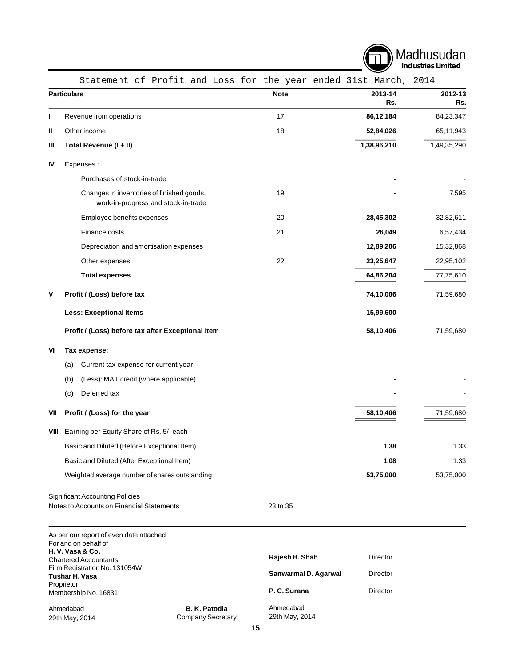

|      | Statement of Profit and Loss for the year ended 31st March, 2014                    |                      |                |                |
|------|-------------------------------------------------------------------------------------|----------------------|----------------|----------------|
|      | <b>Particulars</b>                                                                  | <b>Note</b>          | 2013-14<br>Rs. | 2012-13<br>Rs. |
| ı    | Revenue from operations                                                             | 17                   | 86,12,184      | 84,23,347      |
| Ш    | Other income                                                                        | 18                   | 52,84,026      | 65,11,943      |
| Ш    | Total Revenue (I + II)                                                              |                      | 1,38,96,210    | 1,49,35,290    |
| IV   | Expenses:                                                                           |                      |                |                |
|      | Purchases of stock-in-trade                                                         |                      |                |                |
|      | Changes in inventories of finished goods,<br>work-in-progress and stock-in-trade    | 19                   |                | 7,595          |
|      | Employee benefits expenses                                                          | 20                   | 28,45,302      | 32,82,611      |
|      | Finance costs                                                                       | 21                   | 26,049         | 6,57,434       |
|      | Depreciation and amortisation expenses                                              |                      | 12,89,206      | 15,32,868      |
|      | Other expenses                                                                      | 22                   | 23,25,647      | 22,95,102      |
|      | <b>Total expenses</b>                                                               |                      | 64,86,204      | 77,75,610      |
| V    | Profit / (Loss) before tax                                                          |                      | 74,10,006      | 71,59,680      |
|      | <b>Less: Exceptional Items</b>                                                      |                      | 15,99,600      |                |
|      | Profit / (Loss) before tax after Exceptional Item                                   |                      | 58,10,406      | 71,59,680      |
| VI   | Tax expense:                                                                        |                      |                |                |
|      | Current tax expense for current year<br>(a)                                         |                      |                |                |
|      | (Less): MAT credit (where applicable)<br>(b)                                        |                      |                |                |
|      | Deferred tax<br>(c)                                                                 |                      |                |                |
| VII  | Profit / (Loss) for the year                                                        |                      | 58,10,406      | 71,59,680      |
| VIII | Earning per Equity Share of Rs. 5/- each                                            |                      |                |                |
|      | Basic and Diluted (Before Exceptional Item)                                         |                      | 1.38           | 1.33           |
|      | Basic and Diluted (After Exceptional Item)                                          |                      | 1.08           | 1.33           |
|      | Weighted average number of shares outstanding                                       |                      | 53,75,000      | 53,75,000      |
|      | <b>Significant Accounting Policies</b><br>Notes to Accounts on Financial Statements | 23 to 35             |                |                |
|      | As per our report of even date attached<br>For and on behalf of<br>H.V. Vasa & Co.  |                      |                |                |
|      | <b>Chartered Accountants</b>                                                        | Rajesh B. Shah       | Director       |                |
|      | Firm Registration No. 131054W<br><b>Tushar H. Vasa</b>                              | Sanwarmal D. Agarwal | Director       |                |
|      | Proprietor<br>Membership No. 16831                                                  | P. C. Surana         | Director       |                |
|      | <b>B. K. Patodia</b><br>Ahmedabad                                                   | Ahmedabad            |                |                |

Ahmedabad 29th May, 2014

**B. K. Patodia** Company Secretary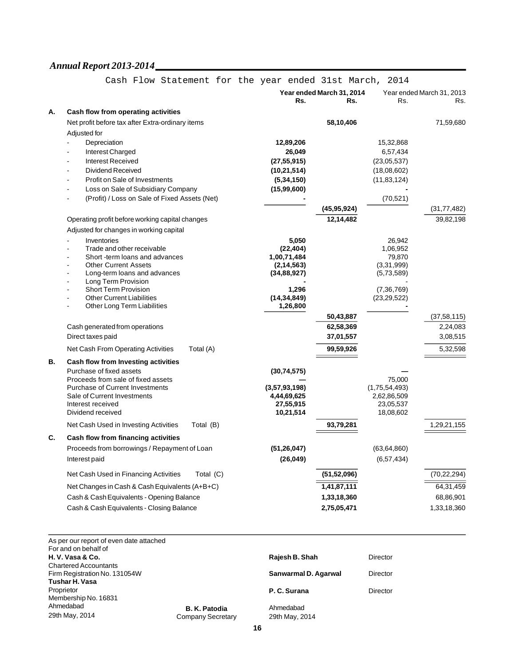|    |                                                                       |                              | Year ended March 31, 2014  |                               | Year ended March 31, 2013 |  |
|----|-----------------------------------------------------------------------|------------------------------|----------------------------|-------------------------------|---------------------------|--|
|    |                                                                       | Rs.                          | Rs.                        | Rs.                           | Rs.                       |  |
| А. | Cash flow from operating activities                                   |                              |                            |                               |                           |  |
|    | Net profit before tax after Extra-ordinary items                      |                              | 58,10,406                  |                               | 71,59,680                 |  |
|    | Adjusted for                                                          |                              |                            |                               |                           |  |
|    | Depreciation                                                          | 12,89,206                    |                            | 15,32,868                     |                           |  |
|    | Interest Charged                                                      | 26,049                       |                            | 6,57,434                      |                           |  |
|    | <b>Interest Received</b>                                              | (27, 55, 915)                |                            | (23,05,537)                   |                           |  |
|    | <b>Dividend Received</b><br>$\overline{a}$                            | (10, 21, 514)                |                            | (18,08,602)                   |                           |  |
|    | Profit on Sale of Investments<br>Loss on Sale of Subsidiary Company   | (5, 34, 150)                 |                            | (11, 83, 124)                 |                           |  |
|    | (Profit) / Loss on Sale of Fixed Assets (Net)                         | (15,99,600)                  |                            | (70, 521)                     |                           |  |
|    |                                                                       |                              |                            |                               |                           |  |
|    |                                                                       |                              | (45, 95, 924)<br>12,14,482 |                               | (31, 77, 482)             |  |
|    | Operating profit before working capital changes                       |                              |                            |                               | 39,82,198                 |  |
|    | Adjusted for changes in working capital                               |                              |                            |                               |                           |  |
|    | Inventories<br>÷,<br>Trade and other receivable                       | 5,050<br>(22, 404)           |                            | 26,942<br>1,06,952            |                           |  |
|    | Short-term loans and advances                                         | 1,00,71,484                  |                            | 79,870                        |                           |  |
|    | <b>Other Current Assets</b>                                           | (2, 14, 563)                 |                            | (3,31,999)                    |                           |  |
|    | Long-term loans and advances<br>÷                                     | (34, 88, 927)                |                            | (5,73,589)                    |                           |  |
|    | Long Term Provision<br>ä,<br><b>Short Term Provision</b>              | 1,296                        |                            |                               |                           |  |
|    | <b>Other Current Liabilities</b>                                      | (14, 34, 849)                |                            | (7, 36, 769)<br>(23, 29, 522) |                           |  |
|    | Other Long Term Liabilities                                           | 1,26,800                     |                            |                               |                           |  |
|    |                                                                       |                              | 50,43,887                  |                               | (37, 58, 115)             |  |
|    | Cash generated from operations                                        |                              | 62,58,369                  |                               | 2,24,083                  |  |
|    | Direct taxes paid                                                     |                              | 37,01,557                  |                               | 3,08,515                  |  |
|    | Net Cash From Operating Activities<br>Total (A)                       |                              | 99,59,926                  |                               | 5,32,598                  |  |
| В. | Cash flow from Investing activities                                   |                              |                            |                               |                           |  |
|    | Purchase of fixed assets                                              | (30, 74, 575)                |                            |                               |                           |  |
|    | Proceeds from sale of fixed assets                                    |                              |                            | 75,000                        |                           |  |
|    | <b>Purchase of Current Investments</b><br>Sale of Current Investments | (3,57,93,198)<br>4,44,69,625 |                            | (1,75,54,493)<br>2,62,86,509  |                           |  |
|    | Interest received                                                     | 27,55,915                    |                            | 23,05,537                     |                           |  |
|    | Dividend received                                                     | 10,21,514                    |                            | 18,08,602                     |                           |  |
|    | Total (B)<br>Net Cash Used in Investing Activities                    |                              | 93,79,281                  |                               | 1,29,21,155               |  |
| C. | Cash flow from financing activities                                   |                              |                            |                               |                           |  |
|    | Proceeds from borrowings / Repayment of Loan                          | (51, 26, 047)                |                            | (63, 64, 860)                 |                           |  |
|    | Interest paid                                                         | (26, 049)                    |                            | (6, 57, 434)                  |                           |  |
|    | Net Cash Used in Financing Activities<br>Total (C)                    |                              | (51, 52, 096)              |                               | (70, 22, 294)             |  |
|    |                                                                       |                              |                            |                               |                           |  |
|    | Net Changes in Cash & Cash Equivalents (A+B+C)                        |                              | 1,41,87,111                |                               | 64,31,459                 |  |
|    | Cash & Cash Equivalents - Opening Balance                             |                              | 1,33,18,360                |                               | 68,86,901                 |  |
|    | Cash & Cash Equivalents - Closing Balance                             |                              | 2,75,05,471                |                               | 1,33,18,360               |  |
|    |                                                                       |                              |                            |                               |                           |  |

# Cash Flow Statement for the year ended 31st March, 2014

| As per our report of even date attached<br>For and on behalf of |                   |                      |          |
|-----------------------------------------------------------------|-------------------|----------------------|----------|
| H.V.Vasa & Co.                                                  |                   | Rajesh B. Shah       | Director |
| <b>Chartered Accountants</b>                                    |                   |                      |          |
| Firm Registration No. 131054W                                   |                   | Sanwarmal D. Agarwal | Director |
| Tushar H. Vasa                                                  |                   |                      |          |
| Proprietor                                                      |                   | P. C. Surana         | Director |
| Membership No. 16831                                            |                   |                      |          |
| Ahmedabad                                                       | B. K. Patodia     | Ahmedabad            |          |
| 29th May, 2014                                                  | Company Secretary | 29th May, 2014       |          |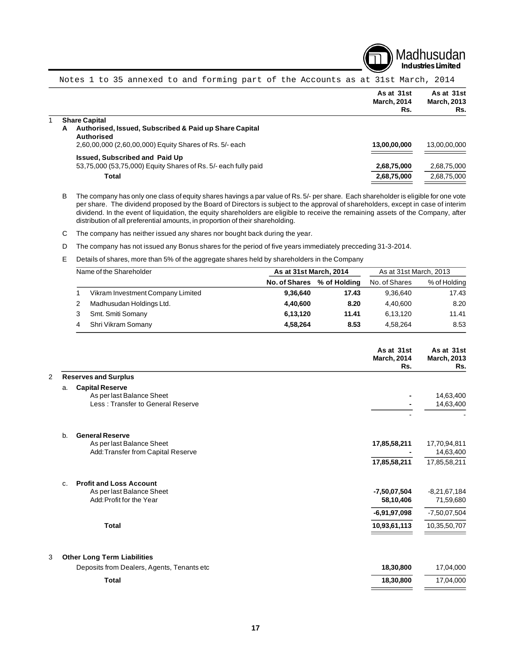

|  |                                                                                  | As at 31st<br><b>March, 2014</b><br>Rs. | As at 31st<br><b>March, 2013</b><br>Rs. |
|--|----------------------------------------------------------------------------------|-----------------------------------------|-----------------------------------------|
|  | <b>Share Capital</b>                                                             |                                         |                                         |
|  | Authorised, Issued, Subscribed & Paid up Share Capital<br>A<br><b>Authorised</b> |                                         |                                         |
|  | 2,60,00,000 (2,60,00,000) Equity Shares of Rs. 5/- each                          | 13,00,00,000                            | 13,00,00,000                            |
|  | <b>Issued, Subscribed and Paid Up</b>                                            |                                         |                                         |
|  | 53,75,000 (53,75,000) Equity Shares of Rs. 5/- each fully paid                   | 2,68,75,000                             | 2,68,75,000                             |
|  | Total                                                                            | 2,68,75,000                             | 2,68,75,000                             |
|  |                                                                                  |                                         |                                         |

Notes 1 to 35 annexed to and forming part of the Accounts as at 31st March, 2014

B The company has only one class of equity shares havings a par value of Rs. 5/- per share. Each shareholder is eligible for one vote per share. The dividend proposed by the Board of Directors is subject to the approval of shareholders, except in case of interim dividend. In the event of liquidation, the equity shareholders are eligible to receive the remaining assets of the Company, after distribution of all preferential amounts, in proportion of their shareholding.

C The company has neither issued any shares nor bought back during the year.

D The company has not issued any Bonus shares for the period of five years immediately precceding 31-3-2014.

E Details of shares, more than 5% of the aggregate shares held by shareholders in the Company

| Name of the Shareholder |                                   | As at 31st March, 2014 |              | As at 31st March, 2013 |              |
|-------------------------|-----------------------------------|------------------------|--------------|------------------------|--------------|
|                         |                                   | <b>No. of Shares</b>   | % of Holding | No. of Shares          | % of Holding |
|                         | Vikram Investment Company Limited | 9,36,640               | 17.43        | 9.36.640               | 17.43        |
|                         | Madhusudan Holdings Ltd.          | 4,40,600               | 8.20         | 4,40,600               | 8.20         |
|                         | Smt. Smiti Somany                 | 6,13,120               | 11.41        | 6,13,120               | 11.41        |
|                         | Shri Vikram Somany                | 4,58,264               | 8.53         | 4.58.264               | 8.53         |

|                                                           | As at 31st<br><b>March, 2014</b><br>Rs. | As at 31st<br><b>March, 2013</b><br>Rs. |
|-----------------------------------------------------------|-----------------------------------------|-----------------------------------------|
| <b>Reserves and Surplus</b>                               |                                         |                                         |
| <b>Capital Reserve</b><br>a.                              |                                         |                                         |
| As per last Balance Sheet                                 |                                         | 14,63,400                               |
| Less: Transfer to General Reserve                         |                                         | 14,63,400                               |
|                                                           |                                         |                                         |
| <b>General Reserve</b><br>b.<br>As per last Balance Sheet | 17,85,58,211                            | 17,70,94,811                            |
| Add: Transfer from Capital Reserve                        |                                         | 14,63,400                               |
|                                                           | 17,85,58,211                            | 17,85,58,211                            |
| <b>Profit and Loss Account</b><br>C <sub>1</sub>          |                                         |                                         |
| As per last Balance Sheet                                 | $-7,50,07,504$                          | $-8,21,67,184$                          |
| Add: Profit for the Year                                  | 58,10,406                               | 71,59,680                               |
|                                                           | $-6,91,97,098$                          | $-7,50,07,504$                          |
| <b>Total</b>                                              | 10,93,61,113                            | 10,35,50,707                            |
| <b>Other Long Term Liabilities</b>                        |                                         |                                         |
| Deposits from Dealers, Agents, Tenants etc                | 18,30,800                               | 17,04,000                               |
| <b>Total</b>                                              | 18,30,800                               | 17,04,000                               |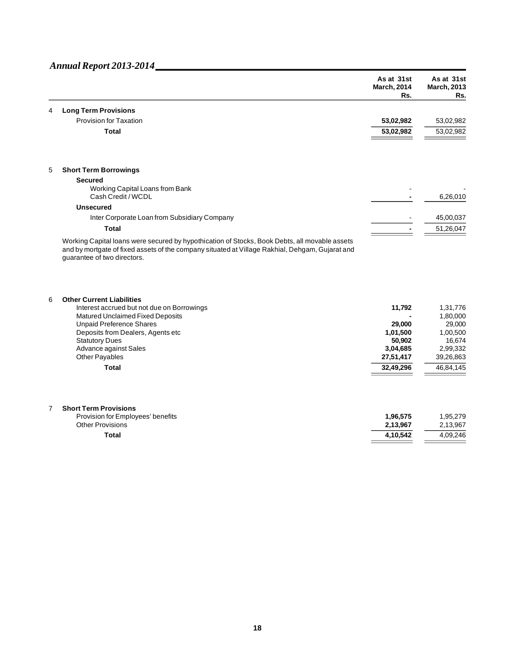|   |                                                                                                                                                                                                                                 | As at 31st<br><b>March, 2014</b><br>Rs. | As at 31st<br><b>March, 2013</b><br>Rs. |
|---|---------------------------------------------------------------------------------------------------------------------------------------------------------------------------------------------------------------------------------|-----------------------------------------|-----------------------------------------|
| 4 | <b>Long Term Provisions</b>                                                                                                                                                                                                     |                                         |                                         |
|   | <b>Provision for Taxation</b>                                                                                                                                                                                                   | 53,02,982                               | 53,02,982                               |
|   | <b>Total</b>                                                                                                                                                                                                                    | 53,02,982                               | 53,02,982                               |
|   |                                                                                                                                                                                                                                 |                                         |                                         |
| 5 | <b>Short Term Borrowings</b>                                                                                                                                                                                                    |                                         |                                         |
|   | <b>Secured</b>                                                                                                                                                                                                                  |                                         |                                         |
|   | Working Capital Loans from Bank<br>Cash Credit / WCDL                                                                                                                                                                           |                                         | 6,26,010                                |
|   |                                                                                                                                                                                                                                 |                                         |                                         |
|   | <b>Unsecured</b>                                                                                                                                                                                                                |                                         |                                         |
|   | Inter Corporate Loan from Subsidiary Company                                                                                                                                                                                    |                                         | 45,00,037                               |
|   | <b>Total</b>                                                                                                                                                                                                                    |                                         | 51,26,047                               |
|   | Working Capital loans were secured by hypothication of Stocks, Book Debts, all movable assets<br>and by mortgate of fixed assets of the company situated at Village Rakhial, Dehgam, Gujarat and<br>guarantee of two directors. |                                         |                                         |
| 6 | <b>Other Current Liabilities</b><br>Interest accrued but not due on Borrowings                                                                                                                                                  | 11,792                                  | 1,31,776                                |
|   | Matured Unclaimed Fixed Deposits<br><b>Unpaid Preference Shares</b>                                                                                                                                                             | 29,000                                  | 1,80,000<br>29,000                      |
|   | Deposits from Dealers, Agents etc                                                                                                                                                                                               | 1,01,500                                | 1,00,500                                |
|   | <b>Statutory Dues</b>                                                                                                                                                                                                           | 50,902                                  | 16,674                                  |
|   | Advance against Sales                                                                                                                                                                                                           | 3,04,685                                | 2,99,332                                |
|   | Other Payables                                                                                                                                                                                                                  | 27,51,417                               | 39,26,863                               |
|   | <b>Total</b>                                                                                                                                                                                                                    | 32,49,296                               | 46,84,145                               |
|   |                                                                                                                                                                                                                                 |                                         |                                         |
| 7 | <b>Short Term Provisions</b><br>Provision for Employees' benefits                                                                                                                                                               | 1,96,575                                | 1,95,279                                |
|   | <b>Other Provisions</b>                                                                                                                                                                                                         | 2,13,967                                | 2,13,967                                |
|   | <b>Total</b>                                                                                                                                                                                                                    | 4,10,542                                | 4,09,246                                |
|   |                                                                                                                                                                                                                                 |                                         |                                         |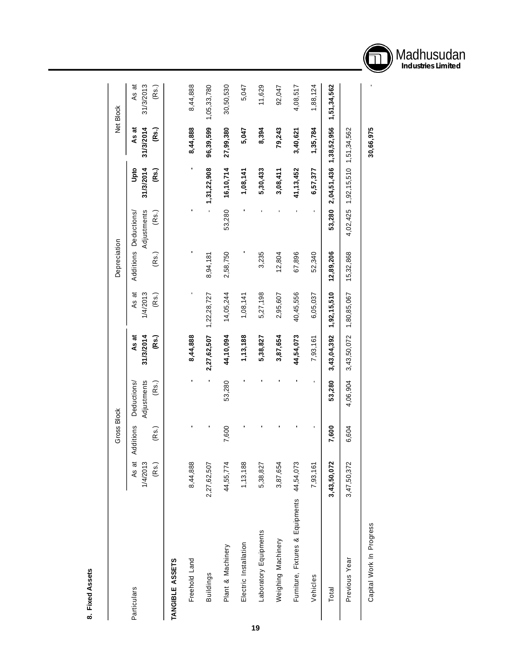| ċ |
|---|
| é |
|   |
|   |
|   |
|   |
|   |
|   |
|   |

|                                            |                            | <b>Gross Block</b> |                                     |                             |                            | Depreciation                   |                      |                                  |                             | Net Block                   |
|--------------------------------------------|----------------------------|--------------------|-------------------------------------|-----------------------------|----------------------------|--------------------------------|----------------------|----------------------------------|-----------------------------|-----------------------------|
| Particulars                                | As at<br>1/4/2013<br>(Rs.) | Additions<br>(Rs.) | Adjustments<br>Deductions/<br>(Rs.) | 31/3/2014<br>(Rs.)<br>As at | 1/4/2013<br>As at<br>(Rs.) | Additions Deductions/<br>(Rs.) | Adjustments<br>(Rs.) | 31/3/2014<br>Upto<br>(Rs.)       | 31/3/2014<br>As at<br>(Rs.) | 31/3/2013<br>As at<br>(Rs.) |
| TANGIBLE ASSETS                            |                            |                    |                                     |                             |                            |                                |                      |                                  |                             |                             |
| Freehold Land                              | 8,44,888                   | ı                  | ı                                   | 8,44,888                    |                            |                                |                      | $\blacksquare$                   | 8,44,888                    | 8,44,888                    |
| Buildings                                  | 2,27,62,507                |                    |                                     | 2,27,62,507                 | 1,22,28,727                | 8,94,181                       |                      | 1,31,22,908                      | 96,39,599                   | 1,05,33,780                 |
| Plant & Machinery                          | 44,55,774                  | 7,600              | 53,280                              | 44,10,094                   | 14,05,244                  | 2,58,750                       | 53,280               | 16, 10, 714                      | 27,99,380                   | 30,50,530                   |
| Electric Installation                      | 1, 13, 188                 |                    |                                     | 1, 13, 188                  | 1,08,141                   |                                |                      | 1,08,141                         | 5,047                       | 5,047                       |
| Laboratory Equipments                      | 5,38,827                   |                    |                                     | 5,38,827                    | 5,27,198                   | 3,235                          |                      | 5,30,433                         | 8,394                       | 11,629                      |
| Weighing Machinery                         | 3,87,654                   |                    |                                     | 3,87,654                    | 2,95,607                   | 12,804                         |                      | 3,08,411                         | 79,243                      | 92,047                      |
| Furniture, Fixtures & Equipments 44,54,073 |                            |                    |                                     | 44,54,073                   | 40,45,556                  | 67,896                         |                      | 41, 13, 452                      | 3,40,621                    | 4,08,517                    |
| Vehicles                                   | 7,93,161                   |                    | $\blacksquare$                      | 7,93,161                    | 6,05,037                   | 52,340                         |                      | 6,57,377                         | 1,35,784                    | 1,88,124                    |
| Total                                      | 3,43,50,072                | 7,600              | 53,280                              | 3,43,04,392                 | 1,92,15,510                | 12,89,206                      | 53,280               | 2,04,51,436                      | 1,38,52,956                 | 1,51,34,562                 |
| Previous Year                              | 3,47,50,372                | 6,604              | 4,06,904                            | 3,43,50,072                 | 1,80,85,067                | 15,32,868                      |                      | 4,02,425 1,92,15,510 1,51,34,562 |                             |                             |
| Capital Work In Progress                   |                            |                    |                                     |                             |                            |                                |                      |                                  | 30,66,975                   |                             |

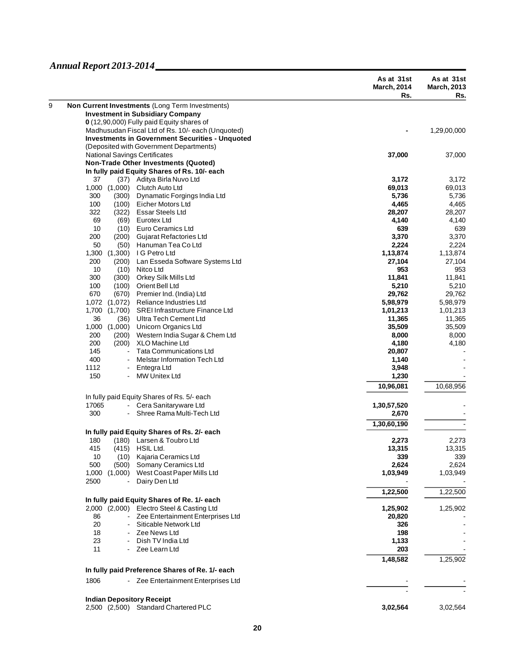|                                                                                            | As at 31st<br><b>March, 2014</b><br>Rs. | As at 31st<br><b>March, 2013</b><br>Rs. |
|--------------------------------------------------------------------------------------------|-----------------------------------------|-----------------------------------------|
| Non Current Investments (Long Term Investments)                                            |                                         |                                         |
| <b>Investment in Subsidiary Company</b>                                                    |                                         |                                         |
| 0 (12,90,000) Fully paid Equity shares of                                                  |                                         |                                         |
| Madhusudan Fiscal Ltd of Rs. 10/- each (Unquoted)                                          |                                         | 1,29,00,000                             |
| <b>Investments in Government Securities - Unquoted</b>                                     |                                         |                                         |
| (Deposited with Government Departments)                                                    |                                         |                                         |
| <b>National Savings Certificates</b>                                                       | 37,000                                  | 37,000                                  |
| <b>Non-Trade Other Investments (Quoted)</b>                                                |                                         |                                         |
| In fully paid Equity Shares of Rs. 10/- each                                               |                                         |                                         |
| 37<br>(37) Aditya Birla Nuvo Ltd                                                           | 3,172                                   | 3,172                                   |
| 1,000<br>(1,000)<br>Clutch Auto Ltd                                                        | 69,013                                  | 69,013                                  |
| 300<br>(300)<br>Dynamatic Forgings India Ltd                                               | 5,736                                   | 5,736                                   |
| 100<br>(100)<br>Eicher Motors Ltd                                                          | 4,465                                   | 4,465                                   |
| <b>Essar Steels Ltd</b><br>322<br>(322)                                                    | 28,207                                  | 28,207                                  |
| 69<br>(69)<br>Eurotex Ltd                                                                  | 4,140                                   | 4,140                                   |
| 10<br>(10)<br>Euro Ceramics Ltd                                                            | 639                                     | 639                                     |
| 200<br>(200)<br>Gujarat Refactories Ltd                                                    | 3,370                                   | 3,370                                   |
| 50<br>(50)<br>Hanuman Tea Co Ltd                                                           | 2,224                                   | 2,224                                   |
| I G Petro Ltd<br>1,300<br>(1,300)                                                          | 1,13,874                                | 1,13,874                                |
| 200<br>Lan Esseda Software Systems Ltd<br>(200)                                            | 27,104                                  | 27,104                                  |
| 10<br>(10)<br>Nitco Ltd                                                                    | 953                                     | 953                                     |
| 300<br>Orkey Silk Mills Ltd<br>(300)                                                       | 11,841                                  | 11,841                                  |
| 100<br>(100)<br>Orient Bell Ltd                                                            | 5,210                                   | 5,210                                   |
| 670<br>(670)<br>Premier Ind. (India) Ltd                                                   | 29,762                                  | 29,762                                  |
| 1,072<br>(1,072)<br>Reliance Industries Ltd                                                | 5,98,979                                | 5,98,979                                |
| 1,700<br>(1,700)<br><b>SREI Infrastructure Finance Ltd</b><br>Ultra Tech Cement Ltd        | 1,01,213                                | 1,01,213                                |
| 36<br>(36)                                                                                 | 11,365                                  | 11,365                                  |
| 1,000<br>(1,000)<br>Unicorn Organics Ltd<br>200<br>(200)<br>Western India Sugar & Chem Ltd | 35,509<br>8,000                         | 35,509<br>8,000                         |
| 200<br>XLO Machine Ltd<br>(200)                                                            | 4,180                                   | 4,180                                   |
| <b>Tata Communications Ltd</b><br>145                                                      | 20,807                                  |                                         |
| 400<br><b>Melstar Information Tech Ltd</b><br>$\blacksquare$                               | 1,140                                   |                                         |
| 1112<br>Entegra Ltd<br>$\frac{1}{2}$                                                       | 3,948                                   |                                         |
| 150<br><b>MW Unitex Ltd</b>                                                                | 1,230                                   |                                         |
|                                                                                            | 10,96,081                               | 10,68,956                               |
| In fully paid Equity Shares of Rs. 5/- each                                                |                                         |                                         |
| 17065<br>- Cera Sanitaryware Ltd                                                           | 1,30,57,520                             |                                         |
| 300<br>Shree Rama Multi-Tech Ltd                                                           | 2,670                                   |                                         |
|                                                                                            | 1,30,60,190                             |                                         |
| In fully paid Equity Shares of Rs. 2/- each                                                |                                         |                                         |
| (180) Larsen & Toubro Ltd<br>180                                                           | 2,273                                   | 2,273                                   |
| 415<br>(415) HSIL Ltd.                                                                     | 13,315                                  | 13,315                                  |
| 10<br>Kajaria Ceramics Ltd<br>(10)                                                         | 339                                     | 339                                     |
| 500<br>Somany Ceramics Ltd<br>(500)                                                        | 2,624                                   | 2,624                                   |
| West Coast Paper Mills Ltd<br>1,000<br>(1,000)<br>2500<br>Dairy Den Ltd                    | 1,03,949                                | 1,03,949                                |
|                                                                                            | 1,22,500                                | 1,22,500                                |
| In fully paid Equity Shares of Re. 1/- each<br>2,000 (2,000) Electro Steel & Casting Ltd   | 1,25,902                                |                                         |
| 86<br>Zee Entertainment Enterprises Ltd<br>$\blacksquare$                                  | 20,820                                  | 1,25,902                                |
| 20<br>Siticable Network Ltd                                                                | 326                                     |                                         |
| 18<br>Zee News Ltd                                                                         | 198                                     |                                         |
| Dish TV India Ltd<br>23                                                                    | 1,133                                   |                                         |
| 11<br>Zee Learn Ltd                                                                        | 203                                     |                                         |
|                                                                                            | 1,48,582                                | 1,25,902                                |
| In fully paid Preference Shares of Re. 1/- each                                            |                                         |                                         |
| 1806<br>- Zee Entertainment Enterprises Ltd                                                |                                         |                                         |
| <b>Indian Depository Receipt</b>                                                           |                                         |                                         |
| 2,500 (2,500) Standard Chartered PLC                                                       | 3,02,564                                | 3,02,564                                |
|                                                                                            |                                         |                                         |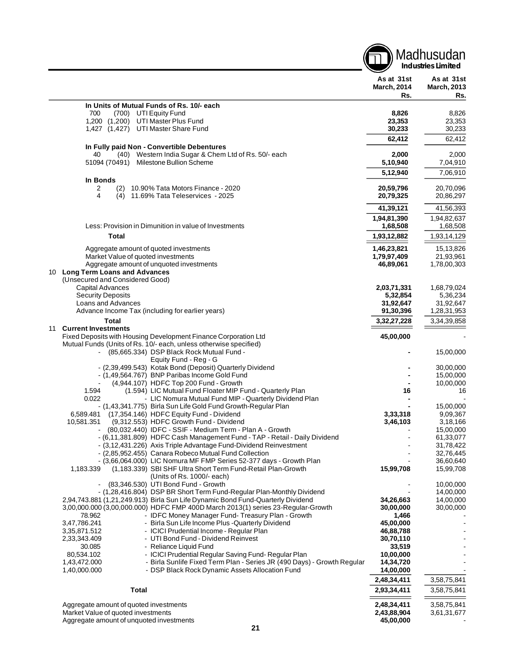|    |                                                                                                                                                 |                                         | Madhusudan<br><b>Industries Limited</b> |
|----|-------------------------------------------------------------------------------------------------------------------------------------------------|-----------------------------------------|-----------------------------------------|
|    |                                                                                                                                                 | As at 31st<br><b>March, 2014</b><br>Rs. | As at 31st<br><b>March, 2013</b><br>Rs. |
|    | In Units of Mutual Funds of Rs. 10/- each                                                                                                       |                                         |                                         |
|    | 700<br>(700)<br>UTI Equity Fund                                                                                                                 | 8,826                                   | 8,826                                   |
|    | 1,200 (1,200) UTI Master Plus Fund                                                                                                              | 23,353                                  | 23,353                                  |
|    | 1,427 (1,427) UTI Master Share Fund                                                                                                             | 30,233                                  | 30,233                                  |
|    |                                                                                                                                                 | 62,412                                  | 62,412                                  |
|    | In Fully paid Non - Convertible Debentures<br>40<br>(40) Western India Sugar & Chem Ltd of Rs. 50/- each                                        | 2,000                                   | 2,000                                   |
|    | 51094 (70491)<br>Milestone Bullion Scheme                                                                                                       | 5,10,940                                | 7,04,910                                |
|    |                                                                                                                                                 | 5,12,940                                | 7,06,910                                |
|    | In Bonds                                                                                                                                        |                                         |                                         |
|    | 10.90% Tata Motors Finance - 2020<br>2<br>(2)                                                                                                   | 20,59,796                               | 20,70,096                               |
|    | 4<br>(4) 11.69% Tata Teleservices - 2025                                                                                                        | 20,79,325                               | 20,86,297                               |
|    |                                                                                                                                                 | 41,39,121                               | 41,56,393                               |
|    |                                                                                                                                                 | 1,94,81,390                             | 1,94,82,637                             |
|    | Less: Provision in Dimunition in value of Investments                                                                                           | 1,68,508                                | 1,68,508                                |
|    | <b>Total</b>                                                                                                                                    | 1,93,12,882                             | 1,93,14,129                             |
|    |                                                                                                                                                 | 1,46,23,821                             |                                         |
|    | Aggregate amount of quoted investments<br>Market Value of quoted investments                                                                    | 1,79,97,409                             | 15,13,826<br>21,93,961                  |
|    | Aggregate amount of unquoted investments                                                                                                        | 46,89,061                               | 1,78,00,303                             |
|    | 10 Long Term Loans and Advances                                                                                                                 |                                         |                                         |
|    | (Unsecured and Considered Good)                                                                                                                 |                                         |                                         |
|    | Capital Advances<br><b>Security Deposits</b>                                                                                                    | 2,03,71,331                             | 1,68,79,024                             |
|    | Loans and Advances                                                                                                                              | 5,32,854<br>31,92,647                   | 5,36,234<br>31,92,647                   |
|    | Advance Income Tax (including for earlier years)                                                                                                | 91,30,396                               | 1,28,31,953                             |
|    | <b>Total</b>                                                                                                                                    | 3,32,27,228                             | 3,34,39,858                             |
| 11 | <b>Current Investments</b>                                                                                                                      |                                         |                                         |
|    | Fixed Deposits with Housing Development Finance Corporation Ltd                                                                                 | 45,00,000                               |                                         |
|    | Mutual Funds (Units of Rs. 10/- each, unless otherwise specified)                                                                               |                                         |                                         |
|    | (85,665.334) DSP Black Rock Mutual Fund -<br>$\sim$<br>Equity Fund - Reg - G                                                                    |                                         | 15,00,000                               |
|    | - (2,39,499.543) Kotak Bond (Deposit) Quarterly Dividend                                                                                        |                                         | 30.00.000                               |
|    | - (1,49,564.767) BNP Paribas Income Gold Fund                                                                                                   |                                         | 15,00,000                               |
|    | (4,944.107) HDFC Top 200 Fund - Growth                                                                                                          |                                         | 10,00,000                               |
|    | 1.594<br>(1.594) LIC Mutual Fund Floater MIP Fund - Quarterly Plan<br>- LIC Nomura Mutual Fund MIP - Quarterly Dividend Plan<br>0.022           | 16                                      | 16                                      |
|    | - (1,43,341.775) Birla Sun Life Gold Fund Growth-Regular Plan                                                                                   |                                         | 15,00,000                               |
|    | (17,354.146) HDFC Equity Fund - Dividend<br>6,589.481                                                                                           | 3,33,318                                | 9,09,367                                |
|    | 10,581.351<br>(9,312.553) HDFC Growth Fund - Dividend                                                                                           | 3,46,103                                | 3,18,166                                |
|    | (80,032.440) IDFC - SSIF - Medium Term - Plan A - Growth                                                                                        |                                         | 15,00,000                               |
|    | - (6,11,381.809) HDFC Cash Management Fund - TAP - Retail - Daily Dividend<br>- (3,12,431.226) Axis Triple Advantage Fund-Dividend Reinvestment |                                         | 61,33,077<br>31,78,422                  |
|    | - (2,85,952.455) Canara Robeco Mutual Fund Collection                                                                                           |                                         | 32,76,445                               |
|    | - (3,66,064.000) LIC Nomura MF FMP Series 52-377 days - Growth Plan                                                                             |                                         | 36,60,640                               |
|    | (1,183.339) SBI SHF Ultra Short Term Fund-Retail Plan-Growth<br>1,183.339                                                                       | 15,99,708                               | 15,99,708                               |
|    | (Units of Rs. 1000/- each)                                                                                                                      |                                         |                                         |
|    | (83,346.530) UTI Bond Fund - Growth<br>- (1,28,416.804) DSP BR Short Term Fund-Regular Plan-Monthly Dividend                                    |                                         | 10,00,000<br>14,00,000                  |
|    | 2,94,743.881 (1,21,249.913) Birla Sun Life Dynamic Bond Fund-Quarterly Dividend                                                                 | 34,26,663                               | 14,00,000                               |
|    | 3,00,000.000 (3,00,000.000) HDFC FMP 400D March 2013(1) series 23-Regular-Growth                                                                | 30,00,000                               | 30,00,000                               |
|    | 78.962<br>- IDFC Money Manager Fund-Treasury Plan - Growth                                                                                      | 1,466                                   |                                         |
|    | - Birla Sun Life Income Plus - Quarterly Dividend<br>3,47,786.241<br>- ICICI Prudential Income - Regular Plan<br>3,35,871.512                   | 45,00,000<br>46,88,788                  |                                         |
|    | 2,33,343.409<br>- UTI Bond Fund - Dividend Reinvest                                                                                             | 30,70,110                               |                                         |
|    | - Reliance Liquid Fund<br>30.085                                                                                                                | 33,519                                  |                                         |
|    | 80,534.102<br>- ICICI Prudential Regular Saving Fund-Regular Plan                                                                               | 10,00,000                               |                                         |
|    | 1,43,472.000<br>- Birla Sunlife Fixed Term Plan - Series JR (490 Days) - Growth Regular                                                         | 14,34,720                               |                                         |
|    | 1,40,000.000<br>- DSP Black Rock Dynamic Assets Allocation Fund                                                                                 | 14,00,000                               |                                         |
|    |                                                                                                                                                 | 2,48,34,411                             | 3,58,75,841                             |
|    | <b>Total</b>                                                                                                                                    | 2,93,34,411                             | 3,58,75,841                             |
|    | Aggregate amount of quoted investments                                                                                                          | 2,48,34,411                             | 3,58,75,841                             |
|    | Market Value of quoted investments                                                                                                              | 2,43,88,904                             | 3,61,31,677                             |
|    | Aggregate amount of unquoted investments                                                                                                        | 45,00,000                               |                                         |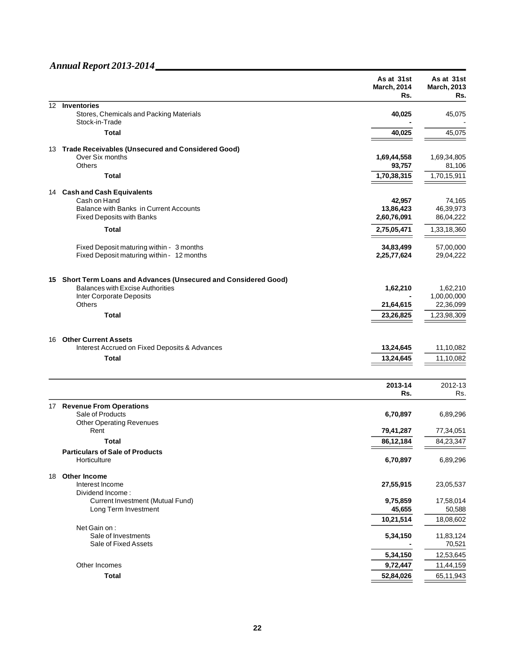|    |                                                                                       | As at 31st<br><b>March, 2014</b><br>Rs. | As at 31st<br><b>March, 2013</b><br>Rs. |
|----|---------------------------------------------------------------------------------------|-----------------------------------------|-----------------------------------------|
| 12 | Inventories                                                                           |                                         |                                         |
|    | Stores, Chemicals and Packing Materials<br>Stock-in-Trade                             | 40,025                                  | 45,075                                  |
|    | <b>Total</b>                                                                          | 40,025                                  | 45,075                                  |
|    | 13 Trade Receivables (Unsecured and Considered Good)                                  |                                         |                                         |
|    | Over Six months                                                                       | 1,69,44,558                             | 1,69,34,805                             |
|    | <b>Others</b>                                                                         | 93,757                                  | 81,106                                  |
|    | <b>Total</b>                                                                          | 1,70,38,315                             | 1,70,15,911                             |
|    | 14 Cash and Cash Equivalents                                                          |                                         |                                         |
|    | Cash on Hand<br>Balance with Banks in Current Accounts                                | 42,957<br>13,86,423                     | 74,165<br>46,39,973                     |
|    | <b>Fixed Deposits with Banks</b>                                                      | 2,60,76,091                             | 86,04,222                               |
|    | <b>Total</b>                                                                          | 2,75,05,471                             | 1,33,18,360                             |
|    |                                                                                       |                                         | 57,00,000                               |
|    | Fixed Deposit maturing within - 3 months<br>Fixed Deposit maturing within - 12 months | 34,83,499<br>2,25,77,624                | 29,04,222                               |
|    | 15 Short Term Loans and Advances (Unsecured and Considered Good)                      |                                         |                                         |
|    | <b>Balances with Excise Authorities</b>                                               | 1,62,210                                | 1,62,210                                |
|    | Inter Corporate Deposits<br><b>Others</b>                                             | 21,64,615                               | 1,00,00,000<br>22,36,099                |
|    | <b>Total</b>                                                                          | 23,26,825                               | 1,23,98,309                             |
|    |                                                                                       |                                         |                                         |
| 16 | <b>Other Current Assets</b><br>Interest Accrued on Fixed Deposits & Advances          | 13,24,645                               | 11,10,082                               |
|    | <b>Total</b>                                                                          | 13,24,645                               | 11,10,082                               |
|    |                                                                                       |                                         |                                         |
|    |                                                                                       | 2013-14                                 | 2012-13                                 |
|    |                                                                                       | Rs.                                     | Rs.                                     |
|    | 17 Revenue From Operations<br>Sale of Products                                        | 6,70,897                                | 6,89,296                                |
|    | <b>Other Operating Revenues</b>                                                       |                                         |                                         |
|    | Rent                                                                                  | 79,41,287                               | 77,34,051                               |
|    | Total                                                                                 | 86,12,184                               | 84,23,347                               |
|    | <b>Particulars of Sale of Products</b><br>Horticulture                                | 6,70,897                                | 6,89,296                                |
| 18 | Other Income                                                                          |                                         |                                         |
|    | Interest Income<br>Dividend Income:                                                   | 27,55,915                               | 23,05,537                               |
|    | Current Investment (Mutual Fund)                                                      | 9,75,859                                | 17,58,014                               |
|    | Long Term Investment                                                                  | 45,655<br>10,21,514                     | 50,588<br>18,08,602                     |
|    | Net Gain on:                                                                          |                                         |                                         |
|    | Sale of Investments<br>Sale of Fixed Assets                                           | 5,34,150                                | 11,83,124<br>70,521                     |
|    |                                                                                       | 5,34,150                                | 12,53,645                               |
|    | Other Incomes                                                                         | 9,72,447                                | 11,44,159                               |
|    | <b>Total</b>                                                                          | 52,84,026                               | 65,11,943                               |
|    |                                                                                       |                                         |                                         |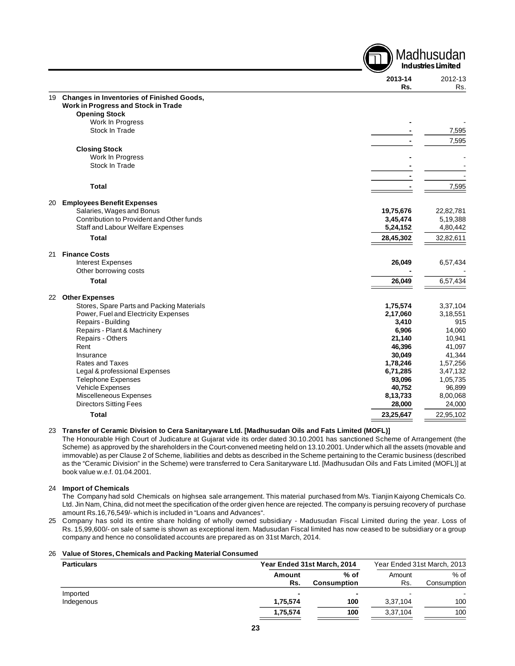|    |                                                         |                    | <b>Industries Limited</b> |
|----|---------------------------------------------------------|--------------------|---------------------------|
|    |                                                         | 2013-14<br>Rs.     | 2012-13<br>Rs.            |
| 19 | <b>Changes in Inventories of Finished Goods,</b>        |                    |                           |
|    | Work in Progress and Stock in Trade                     |                    |                           |
|    | <b>Opening Stock</b>                                    |                    |                           |
|    | Work In Progress                                        |                    |                           |
|    | Stock In Trade                                          |                    | 7,595                     |
|    |                                                         |                    | 7,595                     |
|    | <b>Closing Stock</b>                                    |                    |                           |
|    | Work In Progress                                        |                    |                           |
|    | Stock In Trade                                          |                    |                           |
|    |                                                         |                    |                           |
|    | <b>Total</b>                                            |                    | 7,595                     |
|    |                                                         |                    |                           |
| 20 | <b>Employees Benefit Expenses</b>                       |                    |                           |
|    | Salaries, Wages and Bonus                               | 19,75,676          | 22,82,781                 |
|    | Contribution to Provident and Other funds               | 3,45,474           | 5,19,388                  |
|    | Staff and Labour Welfare Expenses                       | 5,24,152           | 4,80,442                  |
|    | <b>Total</b>                                            | 28,45,302          | 32,82,611                 |
| 21 | <b>Finance Costs</b>                                    |                    |                           |
|    | <b>Interest Expenses</b>                                | 26,049             | 6,57,434                  |
|    | Other borrowing costs                                   |                    |                           |
|    | <b>Total</b>                                            | 26,049             | 6,57,434                  |
| 22 | <b>Other Expenses</b>                                   |                    |                           |
|    | Stores, Spare Parts and Packing Materials               | 1,75,574           | 3,37,104                  |
|    | Power, Fuel and Electricity Expenses                    | 2,17,060           | 3,18,551                  |
|    | Repairs - Building                                      | 3,410              | 915                       |
|    | Repairs - Plant & Machinery                             | 6,906              | 14,060                    |
|    | Repairs - Others                                        | 21,140             | 10,941                    |
|    | Rent                                                    | 46,396             | 41,097                    |
|    | Insurance                                               | 30,049             | 41,344                    |
|    | Rates and Taxes                                         | 1,78,246           | 1,57,256                  |
|    | Legal & professional Expenses                           | 6,71,285           | 3,47,132                  |
|    | <b>Telephone Expenses</b>                               | 93,096             | 1,05,735                  |
|    | Vehicle Expenses                                        | 40,752             | 96,899                    |
|    | Miscelleneous Expenses<br><b>Directors Sitting Fees</b> | 8,13,733<br>28,000 | 8,00,068<br>24,000        |
|    | Total                                                   | 23,25,647          | 22,95,102                 |
|    |                                                         |                    |                           |

**A** Madhusudan

#### 23 **Transfer of Ceramic Division to Cera Sanitaryware Ltd. [Madhusudan Oils and Fats Limited (MOFL)]**

The Honourable High Court of Judicature at Gujarat vide its order dated 30.10.2001 has sanctioned Scheme of Arrangement (the Scheme) as approved by the shareholders in the Court-convened meeting held on 13.10.2001. Under which all the assets (movable and immovable) as per Clause 2 of Scheme, liabilities and debts as described in the Scheme pertaining to the Ceramic business (described as the "Ceramic Division" in the Scheme) were transferred to Cera Sanitaryware Ltd. [Madhusudan Oils and Fats Limited (MOFL)] at book value w.e.f. 01.04.2001.

#### 24 **Import of Chemicals**

The Company had sold Chemicals on highsea sale arrangement. This material purchased from M/s. Tianjin Kaiyong Chemicals Co. Ltd. Jin Nam, China, did not meet the specification of the order given hence are rejected. The company is persuing recovery of purchase amount Rs.16,76,549/- which is included in "Loans and Advances".

25 Company has sold its entire share holding of wholly owned subsidiary - Madusudan Fiscal Limited during the year. Loss of Rs. 15,99,600/- on sale of same is shown as exceptional item. Madusudan Fiscal limited has now ceased to be subsidiary or a group company and hence no consolidated accounts are prepared as on 31st March, 2014.

#### 26 **Value of Stores, Chemicals and Packing Material Consumed**

| <b>Particulars</b> |          | Year Ended 31st March, 2014 |          | Year Ended 31st March, 2013 |
|--------------------|----------|-----------------------------|----------|-----------------------------|
|                    | Amount   | % of                        | Amount   | $%$ of                      |
|                    | Rs.      | <b>Consumption</b>          | Rs.      | Consumption                 |
| Imported           | -        |                             | $\sim$   | -                           |
| Indegenous         | 1,75,574 | 100                         | 3,37,104 | 100                         |
|                    | 1,75,574 | 100                         | 3,37,104 | 100                         |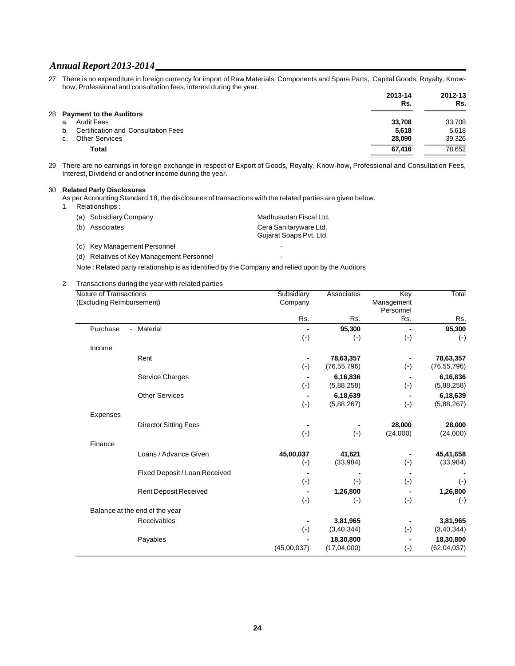27 There is no expenditure in foreign currency for import of Raw Materials, Components and Spare Parts, Capital Goods, Royalty, Knowhow, Professional and consultation fees, interest during the year.

|                                           | 2013-14<br>Rs. | 2012-13<br>Rs. |
|-------------------------------------------|----------------|----------------|
| 28 Payment to the Auditors                |                |                |
| <b>Audit Fees</b><br>a.                   | 33.708         | 33,708         |
| Certification and Consultation Fees<br>b. | 5,618          | 5.618          |
| <b>Other Services</b><br>C.               | 28,090         | 39,326         |
| Total                                     | 67.416         | 78,652         |
|                                           |                |                |

29 There are no earnings in foreign exchange in respect of Export of Goods, Royalty, Know-how, Professional and Consultation Fees, Interest, Dividend or and other income during the year.

#### 30 **Related Parly Disclosures**

As per Accounting Standard 18, the disclosures of transactions with the related parties are given below.

1 Relationships :

| (a) Subsidiary Company | Madhusudan Fiscal Ltd.  |
|------------------------|-------------------------|
| (b) Associates         | Cera Sanitaryware Ltd.  |
|                        | Gujarat Soaps Pvt. Ltd. |

- (c) Key Management Personnel **Figure 2018**
- (d) Relatives of Key Management Personnel

Note : Related party relationship is as identified by the Company and relied upon by the Auditors

2 Transactions during the year with related parties

| <b>Nature of Transactions</b> |                                | Subsidiary     | Associates    | Key        | Total         |
|-------------------------------|--------------------------------|----------------|---------------|------------|---------------|
| (Excluding Reimbursement)     |                                | Company        |               | Management |               |
|                               |                                |                |               | Personnel  |               |
|                               |                                | Rs.            | Rs.           | Rs.        | Rs.           |
| Purchase                      | Material<br>$\blacksquare$     | $\blacksquare$ | 95,300        |            | 95,300        |
|                               |                                | $(\cdot)$      | $(\cdot)$     | $(\cdot)$  | $(\cdot)$     |
| Income                        |                                |                |               |            |               |
|                               | Rent                           |                | 78,63,357     |            | 78,63,357     |
|                               |                                | $(\text{-})$   | (76, 55, 796) | $(\cdot)$  | (76, 55, 796) |
|                               | Service Charges                |                | 6,16,836      |            | 6,16,836      |
|                               |                                | $(\cdot)$      | (5,88,258)    | $(\cdot)$  | (5,88,258)    |
|                               | <b>Other Services</b>          |                | 6,18,639      |            | 6,18,639      |
|                               |                                | $(\cdot)$      | (5,88,267)    | $(\cdot)$  | (5,88,267)    |
| Expenses                      |                                |                |               |            |               |
|                               | <b>Director Sitting Fees</b>   |                |               | 28,000     | 28,000        |
|                               |                                | $(\text{-})$   | $(\cdot)$     | (24,000)   | (24,000)      |
| Finance                       |                                |                |               |            |               |
|                               | Loans / Advance Given          | 45,00,037      | 41,621        |            | 45,41,658     |
|                               |                                | $(\cdot)$      | (33,984)      | $(\cdot)$  | (33,984)      |
|                               | Fixed Deposit / Loan Received  |                |               |            |               |
|                               |                                | $(\cdot)$      | $(\cdot)$     | $(\cdot)$  | $(\cdot)$     |
|                               | <b>Rent Deposit Received</b>   |                | 1,26,800      |            | 1,26,800      |
|                               |                                | $(\cdot)$      | $(\cdot)$     | $(\cdot)$  | $(\cdot)$     |
|                               | Balance at the end of the year |                |               |            |               |
|                               | Receivables                    |                | 3,81,965      |            | 3,81,965      |
|                               |                                | $(\cdot)$      | (3, 40, 344)  | $(\cdot)$  | (3, 40, 344)  |
|                               | Payables                       |                | 18,30,800     |            | 18,30,800     |
|                               |                                | (45,00,037)    | (17,04,000)   | $(\cdot)$  | (62, 04, 037) |
|                               |                                |                |               |            |               |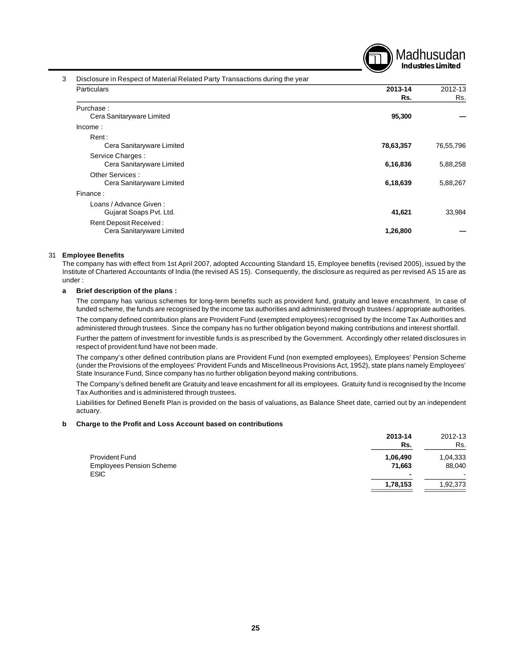

#### 3 Disclosure in Respect of Material Related Party Transactions during the year

| Particulars               | 2013-14   | 2012-13   |
|---------------------------|-----------|-----------|
|                           | Rs.       | Rs.       |
| Purchase:                 |           |           |
| Cera Sanitaryware Limited | 95,300    |           |
| Income:                   |           |           |
| Rent:                     |           |           |
| Cera Sanitaryware Limited | 78,63,357 | 76,55,796 |
| Service Charges:          |           |           |
| Cera Sanitaryware Limited | 6,16,836  | 5,88,258  |
| Other Services:           |           |           |
| Cera Sanitaryware Limited | 6,18,639  | 5,88,267  |
| Finance:                  |           |           |
| Loans / Advance Given:    |           |           |
| Gujarat Soaps Pvt. Ltd.   | 41,621    | 33,984    |
| Rent Deposit Received:    |           |           |
| Cera Sanitaryware Limited | 1,26,800  |           |

#### 31 **Employee Benefits**

The company has with effect from 1st April 2007, adopted Accounting Standard 15, Employee benefits (revised 2005), issued by the Institute of Chartered Accountants of India (the revised AS 15). Consequently, the disclosure as required as per revised AS 15 are as under :

#### **a Brief description of the plans :**

The company has various schemes for long-term benefits such as provident fund, gratuity and leave encashment. In case of funded scheme, the funds are recognised by the income tax authorities and administered through trustees / appropriate authorities.

The company defined contribution plans are Provident Fund (exempted employees) recognised by the Income Tax Authorities and administered through trustees. Since the company has no further obligation beyond making contributions and interest shortfall.

Further the pattern of investment for investible funds is as prescribed by the Government. Accordingly other related disclosures in respect of provident fund have not been made.

The company's other defined contribution plans are Provident Fund (non exempted employees), Employees' Pension Scheme (under the Provisions of the employees' Provident Funds and Miscellneous Provisions Act, 1952), state plans namely Employees' State Insurance Fund, Since company has no further obligation beyond making contributions.

The Company's defined benefit are Gratuity and leave encashment for all its employees. Gratuity fund is recognised by the Income Tax Authorities and is administered through trustees.

Liabilities for Defined Benefit Plan is provided on the basis of valuations, as Balance Sheet date, carried out by an independent actuary.

#### **b Charge to the Profit and Loss Account based on contributions**

|                                                | 2013-14<br>Rs. | 2012-13<br>Rs.           |
|------------------------------------------------|----------------|--------------------------|
| <b>Provident Fund</b>                          | 1,06,490       | 1,04,333                 |
| <b>Employees Pension Scheme</b><br><b>ESIC</b> | 71,663<br>۰    | 88,040<br>$\blacksquare$ |
|                                                | 1,78,153       | 1,92,373                 |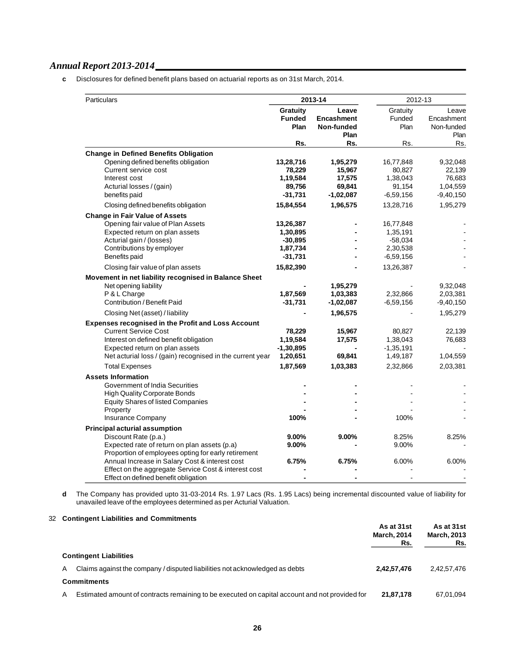**c** Disclosures for defined benefit plans based on actuarial reports as on 31st March, 2014.

| 2013-14<br>Particulars                                                                              |                                   |                                           | 2012-13                    |                                           |
|-----------------------------------------------------------------------------------------------------|-----------------------------------|-------------------------------------------|----------------------------|-------------------------------------------|
|                                                                                                     | Gratuity<br><b>Funded</b><br>Plan | Leave<br>Encashment<br>Non-funded<br>Plan | Gratuity<br>Funded<br>Plan | Leave<br>Encashment<br>Non-funded<br>Plan |
|                                                                                                     | Rs.                               | Rs.                                       | Rs.                        | Rs.                                       |
| <b>Change in Defined Benefits Obligation</b>                                                        |                                   |                                           |                            |                                           |
| Opening defined benefits obligation                                                                 | 13,28,716                         | 1,95,279                                  | 16,77,848                  | 9,32,048                                  |
| Current service cost                                                                                | 78,229                            | 15,967                                    | 80,827                     | 22,139                                    |
| Interest cost                                                                                       | 1,19,584                          | 17,575                                    | 1,38,043                   | 76,683                                    |
| Acturial losses / (gain)                                                                            | 89,756                            | 69,841                                    | 91,154                     | 1,04,559                                  |
| benefits paid                                                                                       | $-31,731$                         | $-1,02,087$                               | $-6,59,156$                | $-9,40,150$                               |
| Closing defined benefits obligation                                                                 | 15,84,554                         | 1,96,575                                  | 13,28,716                  | 1,95,279                                  |
| <b>Change in Fair Value of Assets</b>                                                               |                                   |                                           |                            |                                           |
| Opening fair value of Plan Assets                                                                   | 13,26,387                         |                                           | 16,77,848                  |                                           |
| Expected return on plan assets                                                                      | 1,30,895                          |                                           | 1,35,191                   |                                           |
| Acturial gain / (losses)                                                                            | $-30,895$                         |                                           | $-58,034$                  |                                           |
| Contributions by employer                                                                           | 1,87,734                          |                                           | 2,30,538                   |                                           |
| Benefits paid                                                                                       | $-31,731$                         |                                           | $-6,59,156$                |                                           |
| Closing fair value of plan assets                                                                   | 15,82,390                         |                                           | 13,26,387                  |                                           |
| Movement in net liability recognised in Balance Sheet                                               |                                   |                                           |                            |                                           |
| Net opening liability                                                                               |                                   | 1,95,279                                  |                            | 9,32,048                                  |
| P & L Charge                                                                                        | 1,87,569                          | 1,03,383                                  | 2,32,866                   | 2,03,381                                  |
| Contribution / Benefit Paid                                                                         | $-31,731$                         | $-1,02,087$                               | $-6,59,156$                | $-9,40,150$                               |
| Closing Net (asset) / liability                                                                     |                                   | 1,96,575                                  |                            | 1,95,279                                  |
| <b>Expenses recognised in the Profit and Loss Account</b>                                           |                                   |                                           |                            |                                           |
| <b>Current Service Cost</b>                                                                         | 78,229                            | 15,967                                    | 80,827                     | 22,139                                    |
| Interest on defined benefit obligation                                                              | 1,19,584                          | 17,575                                    | 1,38,043                   | 76,683                                    |
| Expected return on plan assets                                                                      | $-1, 30, 895$                     |                                           | $-1,35,191$                |                                           |
| Net acturial loss / (gain) recognised in the current year                                           | 1,20,651                          | 69,841                                    | 1,49,187                   | 1,04,559                                  |
| <b>Total Expenses</b>                                                                               | 1,87,569                          | 1,03,383                                  | 2,32,866                   | 2,03,381                                  |
| <b>Assets Information</b>                                                                           |                                   |                                           |                            |                                           |
| Government of India Securities                                                                      |                                   |                                           |                            |                                           |
| <b>High Quality Corporate Bonds</b>                                                                 |                                   |                                           |                            |                                           |
| <b>Equity Shares of listed Companies</b>                                                            |                                   |                                           |                            |                                           |
| Property                                                                                            |                                   |                                           |                            |                                           |
| Insurance Company                                                                                   | 100%                              |                                           | 100%                       |                                           |
| <b>Principal acturial assumption</b>                                                                |                                   |                                           |                            |                                           |
| Discount Rate (p.a.)                                                                                | $9.00\%$                          | $9.00\%$                                  | 8.25%                      | 8.25%                                     |
| Expected rate of return on plan assets (p.a)<br>Proportion of employees opting for early retirement | $9.00\%$                          |                                           | 9.00%                      |                                           |
| Annual Increase in Salary Cost & interest cost                                                      | 6.75%                             | 6.75%                                     | 6.00%                      | 6.00%                                     |
| Effect on the aggregate Service Cost & interest cost                                                |                                   |                                           |                            |                                           |
| Effect on defined benefit obligation                                                                |                                   |                                           |                            |                                           |

**d** The Company has provided upto 31-03-2014 Rs. 1.97 Lacs (Rs. 1.95 Lacs) being incremental discounted value of liability for unavailed leave of the employees determined as per Acturial Valuation.

### 32 **Contingent Liabilities and Commitments**

|   |                                                                                                | As at 31st<br><b>March, 2014</b><br>Rs. | As at 31st<br><b>March, 2013</b><br>Rs. |
|---|------------------------------------------------------------------------------------------------|-----------------------------------------|-----------------------------------------|
|   | <b>Contingent Liabilities</b>                                                                  |                                         |                                         |
| А | Claims against the company / disputed liabilities not acknowledged as debts                    | 2.42.57.476                             | 2.42.57.476                             |
|   | <b>Commitments</b>                                                                             |                                         |                                         |
| А | Estimated amount of contracts remaining to be executed on capital account and not provided for | 21.87.178                               | 67.01.094                               |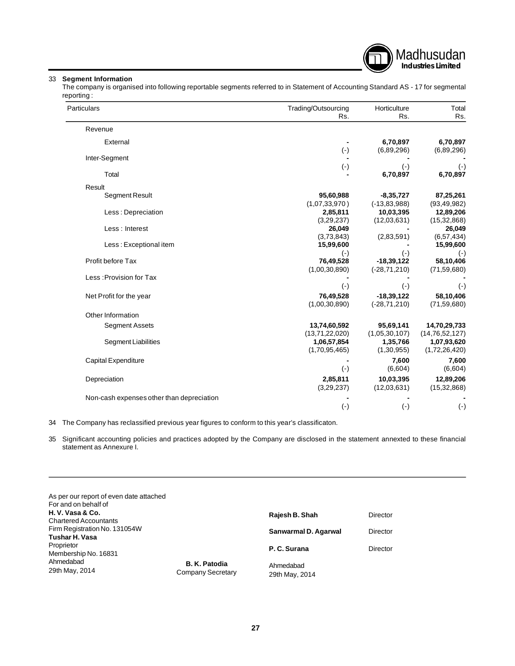

## 33 **Segment Information**

The company is organised into following reportable segments referred to in Statement of Accounting Standard AS - 17 for segmental reporting :

| Particulars                               | Trading/Outsourcing<br>Rs. | Horticulture<br>Rs.   | Total<br>Rs.            |
|-------------------------------------------|----------------------------|-----------------------|-------------------------|
| Revenue                                   |                            |                       |                         |
| External                                  |                            | 6,70,897              | 6,70,897                |
|                                           | $(\cdot)$                  | (6,89,296)            | (6,89,296)              |
| Inter-Segment                             |                            |                       |                         |
| Total                                     | $(\cdot)$                  | $(\cdot)$<br>6,70,897 | $(\cdot)$<br>6,70,897   |
|                                           |                            |                       |                         |
| Result                                    |                            |                       |                         |
| Segment Result                            | 95,60,988                  | $-8,35,727$           | 87,25,261               |
|                                           | (1,07,33,970)              | $(-13, 83, 988)$      | (93, 49, 982)           |
| Less: Depreciation                        | 2,85,811                   | 10,03,395             | 12,89,206               |
| Less : Interest                           | (3,29,237)<br>26,049       | (12,03,631)           | (15, 32, 868)<br>26,049 |
|                                           | (3,73,843)                 | (2,83,591)            | (6, 57, 434)            |
| Less: Exceptional item                    | 15,99,600                  |                       | 15,99,600               |
|                                           | $(\cdot)$                  | $(\cdot)$             | $(\cdot)$               |
| Profit before Tax                         | 76,49,528                  | $-18,39,122$          | 58,10,406               |
|                                           | (1,00,30,890)              | $(-28, 71, 210)$      | (71, 59, 680)           |
| Less: Provision for Tax                   |                            |                       |                         |
|                                           | $(\cdot)$                  | $(\cdot)$             | $(\cdot)$               |
| Net Profit for the year                   | 76,49,528                  | $-18,39,122$          | 58,10,406               |
|                                           | (1,00,30,890)              | $(-28, 71, 210)$      | (71, 59, 680)           |
| Other Information                         |                            |                       |                         |
| <b>Segment Assets</b>                     | 13,74,60,592               | 95,69,141             | 14,70,29,733            |
|                                           | (13,71,22,020)             | (1,05,30,107)         | (14, 76, 52, 127)       |
| <b>Segment Liabilities</b>                | 1,06,57,854                | 1,35,766              | 1,07,93,620             |
|                                           | (1,70,95,465)              | (1,30,955)            | (1,72,26,420)           |
| Capital Expenditure                       |                            | 7,600                 | 7,600                   |
|                                           | $(\cdot)$                  | (6,604)               | (6,604)                 |
| Depreciation                              | 2,85,811                   | 10,03,395             | 12,89,206               |
|                                           | (3,29,237)                 | (12,03,631)           | (15, 32, 868)           |
| Non-cash expenses other than depreciation |                            |                       |                         |
|                                           | $(\cdot)$                  | $(\cdot)$             | $(\cdot)$               |

34 The Company has reclassified previous year figures to conform to this year's classificaton.

35 Significant accounting policies and practices adopted by the Company are disclosed in the statement annexted to these financial statement as Annexure I.

| As per our report of even date attached<br>For and on behalf of |                                    |                             |          |
|-----------------------------------------------------------------|------------------------------------|-----------------------------|----------|
| H.V. Vasa & Co.<br><b>Chartered Accountants</b>                 |                                    | Rajesh B. Shah              | Director |
| Firm Registration No. 131054W<br><b>Tushar H. Vasa</b>          |                                    | Sanwarmal D. Agarwal        | Director |
| Proprietor<br>Membership No. 16831                              |                                    | P. C. Surana                | Director |
| Ahmedabad<br>29th May, 2014                                     | B. K. Patodia<br>Company Secretary | Ahmedabad<br>29th May, 2014 |          |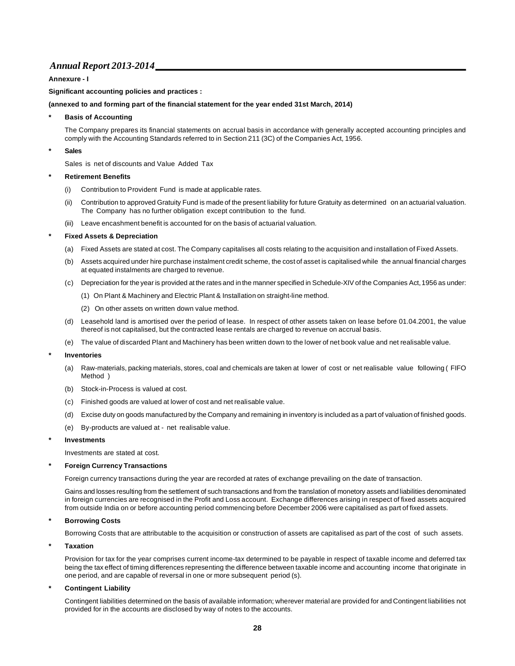#### **Annexure - I**

#### **Significant accounting policies and practices :**

#### **(annexed to and forming part of the financial statement for the year ended 31st March, 2014)**

#### **\* Basis of Accounting**

The Company prepares its financial statements on accrual basis in accordance with generally accepted accounting principles and comply with the Accounting Standards referred to in Section 211 (3C) of the Companies Act, 1956.

#### **\* Sales**

Sales is net of discounts and Value Added Tax

#### **\* Retirement Benefits**

- (i) Contribution to Provident Fund is made at applicable rates.
- (ii) Contribution to approved Gratuity Fund is made of the present liability for future Gratuity as determined on an actuarial valuation. The Company has no further obligation except contribution to the fund.
- (iii) Leave encashment benefit is accounted for on the basis of actuarial valuation.

#### **\* Fixed Assets & Depreciation**

- (a) Fixed Assets are stated at cost. The Company capitalises all costs relating to the acquisition and installation of Fixed Assets.
- (b) Assets acquired under hire purchase instalment credit scheme, the cost of asset is capitalised while the annual financial charges at equated instalments are charged to revenue.
- (c) Depreciation for the year is provided at the rates and in the manner specified in Schedule-XIV of the Companies Act, 1956 as under:
	- (1) On Plant & Machinery and Electric Plant & Installation on straight-line method.
	- (2) On other assets on written down value method.
- (d) Leasehold land is amortised over the period of lease. In respect of other assets taken on lease before 01.04.2001, the value thereof is not capitalised, but the contracted lease rentals are charged to revenue on accrual basis.
- (e) The value of discarded Plant and Machinery has been written down to the lower of net book value and net realisable value.

#### **\* Inventories**

- (a) Raw-materials, packing materials, stores, coal and chemicals are taken at lower of cost or net realisable value following ( FIFO Method )
- (b) Stock-in-Process is valued at cost.
- (c) Finished goods are valued at lower of cost and net realisable value.
- (d) Excise duty on goods manufactured by the Company and remaining in inventory is included as a part of valuation of finished goods.
- (e) By-products are valued at net realisable value.

#### **\* Investments**

Investments are stated at cost.

#### **\* Foreign Currency Transactions**

Foreign currency transactions during the year are recorded at rates of exchange prevailing on the date of transaction.

Gains and losses resulting from the settlement of such transactions and from the translation of monetory assets and liabilities denominated in foreign currencies are recognised in the Profit and Loss account. Exchange differences arising in respect of fixed assets acquired from outside India on or before accounting period commencing before December 2006 were capitalised as part of fixed assets.

#### **\* Borrowing Costs**

Borrowing Costs that are attributable to the acquisition or construction of assets are capitalised as part of the cost of such assets.

#### **\* Taxation**

Provision for tax for the year comprises current income-tax determined to be payable in respect of taxable income and deferred tax being the tax effect of timing differences representing the difference between taxable income and accounting income that originate in one period, and are capable of reversal in one or more subsequent period (s).

#### **\* Contingent Liability**

Contingent liabilities determined on the basis of available information; wherever material are provided for and Contingent liabilities not provided for in the accounts are disclosed by way of notes to the accounts.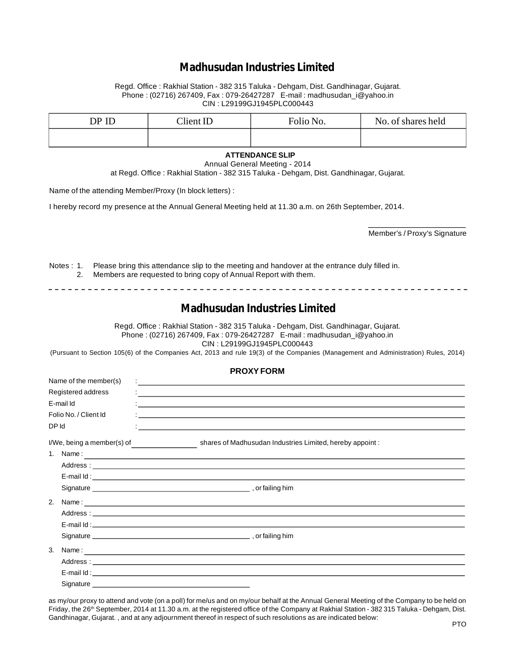# **Madhusudan Industries Limited**

Regd. Office : Rakhial Station - 382 315 Taluka - Dehgam, Dist. Gandhinagar, Gujarat. Phone : (02716) 267409, Fax : 079-26427287 E-mail : madhusudan\_i@yahoo.in CIN : L29199GJ1945PLC000443

| DP ID | Client ID | Folio No. | No. of shares held |
|-------|-----------|-----------|--------------------|
|       |           |           |                    |

#### **ATTENDANCE SLIP**

Annual General Meeting - 2014

at Regd. Office : Rakhial Station - 382 315 Taluka - Dehgam, Dist. Gandhinagar, Gujarat.

Name of the attending Member/Proxy (In block letters) :

------------------------------

I hereby record my presence at the Annual General Meeting held at 11.30 a.m. on 26th September, 2014.

Member's / Proxy's Signature

- - - - - - - - - - - - - - - - - - -

Notes : 1. Please bring this attendance slip to the meeting and handover at the entrance duly filled in. 2. Members are requested to bring copy of Annual Report with them.

# **Madhusudan Industries Limited**

Regd. Office : Rakhial Station - 382 315 Taluka - Dehgam, Dist. Gandhinagar, Gujarat. Phone : (02716) 267409, Fax : 079-26427287 E-mail : madhusudan\_i@yahoo.in CIN : L29199GJ1945PLC000443

(Pursuant to Section 105(6) of the Companies Act, 2013 and rule 19(3) of the Companies (Management and Administration) Rules, 2014)

#### **PROXY FORM**

| Name of the member(s) |                                                                                                                                                                                                                                                                                                                                                                                                             |
|-----------------------|-------------------------------------------------------------------------------------------------------------------------------------------------------------------------------------------------------------------------------------------------------------------------------------------------------------------------------------------------------------------------------------------------------------|
| Registered address    | <u> 1980 - Jan James James Barnett, fransk politik (d. 1980)</u>                                                                                                                                                                                                                                                                                                                                            |
| E-mail Id             |                                                                                                                                                                                                                                                                                                                                                                                                             |
| Folio No. / Client Id |                                                                                                                                                                                                                                                                                                                                                                                                             |
| DP Id                 | <u> 1989 - Andrea Andrea Andrea Andrea Andrea Andrea Andrea Andrea Andrea Andrea Andrea Andrea Andrea Andrea Andr</u>                                                                                                                                                                                                                                                                                       |
|                       | I/We, being a member(s) of shares of Madhusudan Industries Limited, hereby appoint:                                                                                                                                                                                                                                                                                                                         |
|                       | 1. Name: $\frac{1}{\sqrt{1-\frac{1}{2}}\sqrt{1-\frac{1}{2}}\sqrt{1-\frac{1}{2}}\sqrt{1-\frac{1}{2}}\sqrt{1-\frac{1}{2}}\sqrt{1-\frac{1}{2}}\sqrt{1-\frac{1}{2}}\sqrt{1-\frac{1}{2}}\sqrt{1-\frac{1}{2}}\sqrt{1-\frac{1}{2}}\sqrt{1-\frac{1}{2}}\sqrt{1-\frac{1}{2}}\sqrt{1-\frac{1}{2}}\sqrt{1-\frac{1}{2}}\sqrt{1-\frac{1}{2}}\sqrt{1-\frac{1}{2}}\sqrt{1-\frac{1}{2}}\sqrt{1-\frac{1}{2}}\sqrt{1-\frac{1$ |
|                       |                                                                                                                                                                                                                                                                                                                                                                                                             |
|                       | E-mail Id: with a state of the state of the state of the state of the state of the state of the state of the state of the state of the state of the state of the state of the state of the state of the state of the state of                                                                                                                                                                               |
|                       |                                                                                                                                                                                                                                                                                                                                                                                                             |
| 2.                    |                                                                                                                                                                                                                                                                                                                                                                                                             |
|                       |                                                                                                                                                                                                                                                                                                                                                                                                             |
|                       |                                                                                                                                                                                                                                                                                                                                                                                                             |
|                       |                                                                                                                                                                                                                                                                                                                                                                                                             |
| 3.                    |                                                                                                                                                                                                                                                                                                                                                                                                             |
|                       |                                                                                                                                                                                                                                                                                                                                                                                                             |
|                       |                                                                                                                                                                                                                                                                                                                                                                                                             |
|                       |                                                                                                                                                                                                                                                                                                                                                                                                             |

as my/our proxy to attend and vote (on a poll) for me/us and on my/our behalf at the Annual General Meeting of the Company to be held on Friday, the 26<sup>th</sup> September, 2014 at 11.30 a.m. at the registered office of the Company at Rakhial Station - 382 315 Taluka - Dehgam, Dist. Gandhinagar, Gujarat. , and at any adjournment thereof in respect of such resolutions as are indicated below: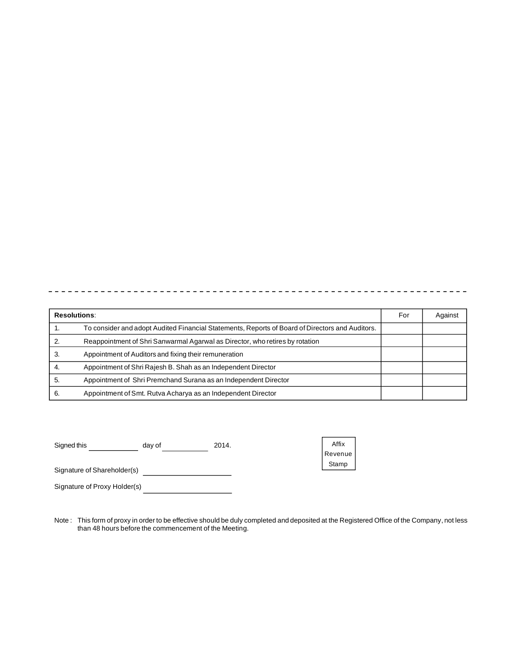|     | <b>Resolutions:</b>                                                                             | For | Against |
|-----|-------------------------------------------------------------------------------------------------|-----|---------|
| . . | To consider and adopt Audited Financial Statements, Reports of Board of Directors and Auditors. |     |         |
|     | Reappointment of Shri Sanwarmal Agarwal as Director, who retires by rotation                    |     |         |
| 3   | Appointment of Auditors and fixing their remuneration                                           |     |         |
| 4.  | Appointment of Shri Rajesh B. Shah as an Independent Director                                   |     |         |
| 5.  | Appointment of Shri Premchand Surana as an Independent Director                                 |     |         |
| 6.  | Appointment of Smt. Rutva Acharya as an Independent Director                                    |     |         |

Signed this \_\_\_\_\_\_\_\_\_\_\_\_\_\_\_\_ day of \_\_\_\_\_\_\_\_\_\_\_\_\_\_\_\_\_\_\_\_ 2014.

Affix Revenue Stamp

Signature of Shareholder(s)

Signature of Proxy Holder(s)<br>
<u>
</u>

Note : This form of proxy in order to be effective should be duly completed and deposited at the Registered Office of the Company, not less than 48 hours before the commencement of the Meeting.